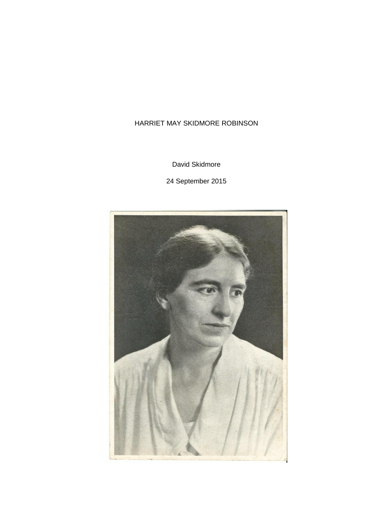# <span id="page-0-0"></span>HARRIET MAY SKIDMORE ROBINSON

David Skidmore

24 September 2015

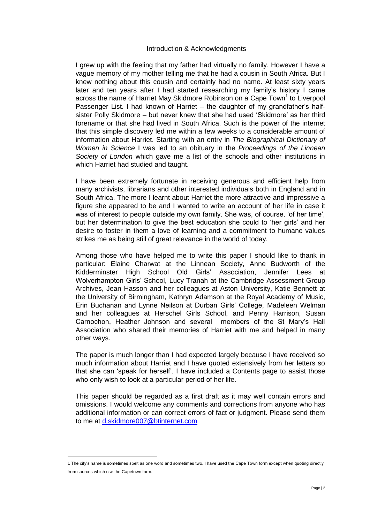# Introduction & Acknowledgments

I grew up with the feeling that my father had virtually no family. However I have a vague memory of my mother telling me that he had a cousin in South Africa. But I knew nothing about this cousin and certainly had no name. At least sixty years later and ten years after I had started researching my family's history I came across the name of Harriet May Skidmore Robinson on a Cape Town<sup>1</sup> to Liverpool Passenger List. I had known of Harriet – the daughter of my grandfather's halfsister Polly Skidmore – but never knew that she had used 'Skidmore' as her third forename or that she had lived in South Africa. Such is the power of the internet that this simple discovery led me within a few weeks to a considerable amount of information about Harriet. Starting with an entry in *The Biographical Dictionary of Women in Science* I was led to an obituary in the *Proceedings of the Linnean Society of London* which gave me a list of the schools and other institutions in which Harriet had studied and taught.

I have been extremely fortunate in receiving generous and efficient help from many archivists, librarians and other interested individuals both in England and in South Africa. The more I learnt about Harriet the more attractive and impressive a figure she appeared to be and I wanted to write an account of her life in case it was of interest to people outside my own family. She was, of course, 'of her time', but her determination to give the best education she could to 'her girls' and her desire to foster in them a love of learning and a commitment to humane values strikes me as being still of great relevance in the world of today.

Among those who have helped me to write this paper I should like to thank in particular: Elaine Charwat at the Linnean Society, Anne Budworth of the Kidderminster High School Old Girls' Association, Jennifer Lees at Wolverhampton Girls' School, Lucy Tranah at the Cambridge Assessment Group Archives, Jean Hasson and her colleagues at Aston University, Katie Bennett at the University of Birmingham, Kathryn Adamson at the Royal Academy of Music, Erin Buchanan and Lynne Neilson at Durban Girls' College, Madeleen Welman and her colleagues at Herschel Girls School, and Penny Harrison, Susan Carnochon, Heather Johnson and several members of the St Mary's Hall Association who shared their memories of Harriet with me and helped in many other ways.

The paper is much longer than I had expected largely because I have received so much information about Harriet and I have quoted extensively from her letters so that she can 'speak for herself'. I have included a Contents page to assist those who only wish to look at a particular period of her life.

This paper should be regarded as a first draft as it may well contain errors and omissions. I would welcome any comments and corrections from anyone who has additional information or can correct errors of fact or judgment. Please send them to me at [d.skidmore007@btinternet.com](mailto:d.skidmore007@btinternet.com)

<sup>1</sup> The city's name is sometimes spelt as one word and sometimes two. I have used the Cape Town form except when quoting directly from sources which use the Capetown form.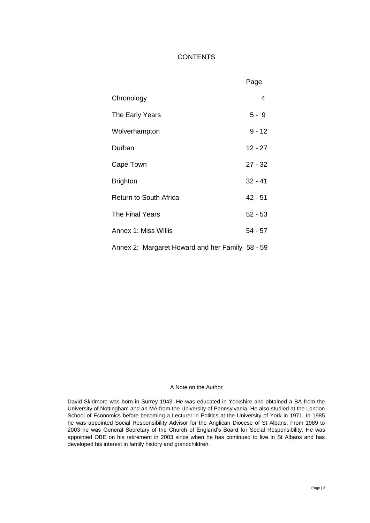# **CONTENTS**

|                                                 | Page      |
|-------------------------------------------------|-----------|
| Chronology                                      | 4         |
| The Early Years                                 | $5 - 9$   |
| Wolverhampton                                   | $9 - 12$  |
| Durban                                          | $12 - 27$ |
| Cape Town                                       | $27 - 32$ |
| <b>Brighton</b>                                 | $32 - 41$ |
| <b>Return to South Africa</b>                   | $42 - 51$ |
| The Final Years                                 | $52 - 53$ |
| Annex 1: Miss Willis                            | $54 - 57$ |
| Annex 2: Margaret Howard and her Family 58 - 59 |           |

#### A Note on the Author

David Skidmore was born in Surrey 1943. He was educated in Yorkshire and obtained a BA from the University of Nottingham and an MA from the University of Pennsylvania. He also studied at the London School of Economics before becoming a Lecturer in Politics at the University of York in 1971. In 1985 he was appointed Social Responsibility Advisor for the Anglican Diocese of St Albans. From 1989 to 2003 he was General Secretary of the Church of England's Board for Social Responsibility. He was appointed OBE on his retirement in 2003 since when he has continued to live in St Albans and has developed his interest in family history and grandchildren.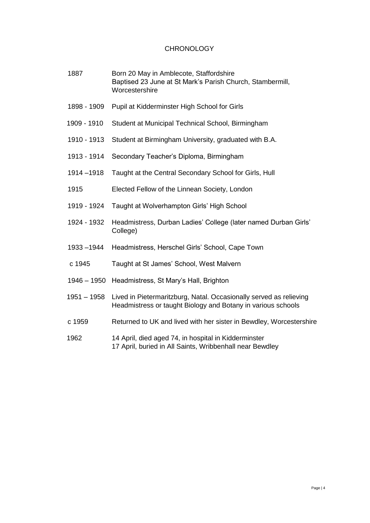# **CHRONOLOGY**

- 1887 Born 20 May in Amblecote, Staffordshire Baptised 23 June at St Mark's Parish Church, Stambermill, **Worcestershire**
- 1898 1909 Pupil at Kidderminster High School for Girls
- 1909 1910 Student at Municipal Technical School, Birmingham
- 1910 1913 Student at Birmingham University, graduated with B.A.
- 1913 1914 Secondary Teacher's Diploma, Birmingham
- 1914 –1918 Taught at the Central Secondary School for Girls, Hull
- 1915 Elected Fellow of the Linnean Society, London
- 1919 1924 Taught at Wolverhampton Girls' High School
- 1924 1932 Headmistress, Durban Ladies' College (later named Durban Girls' College)
- 1933 –1944 Headmistress, Herschel Girls' School, Cape Town
- c 1945 Taught at St James' School, West Malvern
- 1946 1950 Headmistress, St Mary's Hall, Brighton
- 1951 1958 Lived in Pietermaritzburg, Natal. Occasionally served as relieving Headmistress or taught Biology and Botany in various schools
- c 1959 Returned to UK and lived with her sister in Bewdley, Worcestershire
- 1962 14 April, died aged 74, in hospital in Kidderminster 17 April, buried in All Saints, Wribbenhall near Bewdley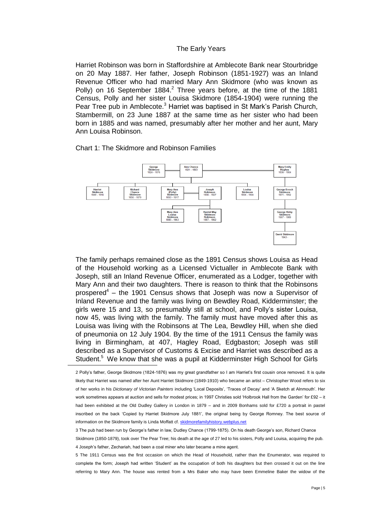#### The Early Years

Harriet Robinson was born in Staffordshire at Amblecote Bank near Stourbridge on 20 May 1887. Her father, Joseph Robinson (1851-1927) was an Inland Revenue Officer who had married Mary Ann Skidmore (who was known as Polly) on 16 September 1884.<sup>2</sup> Three years before, at the time of the 1881 Census, Polly and her sister Louisa Skidmore (1854-1904) were running the Pear Tree pub in Amblecote.<sup>3</sup> Harriet was baptised in St Mark's Parish Church, Stambermill, on 23 June 1887 at the same time as her sister who had been born in 1885 and was named, presumably after her mother and her aunt, Mary Ann Louisa Robinson.

# Chart 1: The Skidmore and Robinson Families

 $\overline{a}$ 



The family perhaps remained close as the 1891 Census shows Louisa as Head of the Household working as a Licensed Victualler in Amblecote Bank with Joseph, still an Inland Revenue Officer, enumerated as a Lodger, together with Mary Ann and their two daughters. There is reason to think that the Robinsons prospered<sup>4</sup> – the 1901 Census shows that Joseph was now a Supervisor of Inland Revenue and the family was living on Bewdley Road, Kidderminster; the girls were 15 and 13, so presumably still at school, and Polly's sister Louisa, now 45, was living with the family. The family must have moved after this as Louisa was living with the Robinsons at The Lea, Bewdley Hill, when she died of pneumonia on 12 July 1904. By the time of the 1911 Census the family was living in Birmingham, at 407, Hagley Road, Edgbaston; Joseph was still described as a Supervisor of Customs & Excise and Harriet was described as a Student.<sup>5</sup> We know that she was a pupil at Kidderminster High School for Girls

<sup>2</sup> Polly's father, George Skidmore (1824-1876) was my great grandfather so I am Harriet's first cousin once removed. It is quite likely that Harriet was named after her Aunt Harriet Skidmore (1849-1910) who became an artist – Christopher Wood refers to six of her works in his *Dictionary of Victorian Painters* including 'Local Deposits', 'Traces of Decay' and 'A Sketch at Alnmouth'. Her work sometimes appears at auction and sells for modest prices; in 1997 Christies sold 'Holbrook Hall from the Garden' for £92 – it had been exhibited at the Old Dudley Gallery in London in 1879 – and in 2009 Bonhams sold for £720 a portrait in pastel inscribed on the back 'Copied by Harriet Skidmore July 1881', the original being by George Romney. The best source of information on the Skidmore family is Linda Moffatt cf[. skidmorefamilyhistory.webplus.net](#page-0-0) 

<sup>3</sup> The pub had been run by George's father in law, Dudley Chance (1799-1875). On his death George's son, Richard Chance

Skidmore (1850-1879), took over The Pear Tree; his death at the age of 27 led to his sisters, Polly and Louisa, acquiring the pub. 4 Joseph's father, Zechariah, had been a coal miner who later became a mine agent.

<sup>5</sup> The 1911 Census was the first occasion on which the Head of Household, rather than the Enumerator, was required to complete the form; Joseph had written 'Student' as the occupation of both his daughters but then crossed it out on the line referring to Mary Ann. The house was rented from a Mrs Baker who may have been Emmeline Baker the widow of the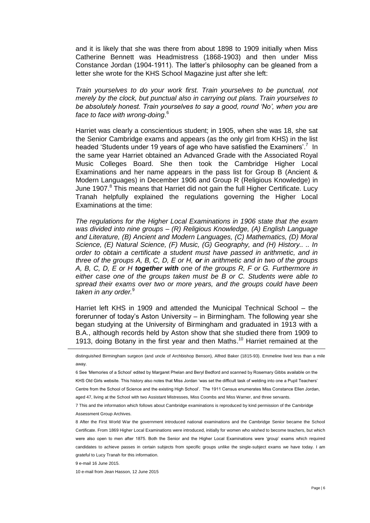and it is likely that she was there from about 1898 to 1909 initially when Miss Catherine Bennett was Headmistress (1868-1903) and then under Miss Constance Jordan (1904-1911). The latter's philosophy can be gleaned from a letter she wrote for the KHS School Magazine just after she left:

*Train yourselves to do your work first. Train yourselves to be punctual, not merely by the clock, but punctual also in carrying out plans. Train yourselves to be absolutely honest. Train yourselves to say a good, round 'No', when you are face to face with wrong-doing*. 6

Harriet was clearly a conscientious student; in 1905, when she was 18, she sat the Senior Cambridge exams and appears (as the only girl from KHS) in the list headed 'Students under 19 years of age who have satisfied the Examiners'.<sup>7</sup> In the same year Harriet obtained an Advanced Grade with the Associated Royal Music Colleges Board. She then took the Cambridge Higher Local Examinations and her name appears in the pass list for Group B (Ancient & Modern Languages) in December 1906 and Group R (Religious Knowledge) in June 1907.<sup>8</sup> This means that Harriet did not gain the full Higher Certificate. Lucy Tranah helpfully explained the regulations governing the Higher Local Examinations at the time:

*The regulations for the Higher Local Examinations in 1906 state that the exam was divided into nine groups – (R) Religious Knowledge, (A) English Language and Literature, (B) Ancient and Modern Languages, (C) Mathematics, (D) Moral Science, (E) Natural Science, (F) Music, (G) Geography, and (H) History.. .. In order to obtain a certificate a student must have passed in arithmetic, and in three of the groups A, B, C, D, E or H, or in arithmetic and in two of the groups A, B, C, D, E or H together with one of the groups R, F or G. Furthermore in either case one of the groups taken must be B or C. Students were able to spread their exams over two or more years, and the groups could have been taken in any order.*<sup>9</sup>

Harriet left KHS in 1909 and attended the Municipal Technical School – the forerunner of today's Aston University – in Birmingham. The following year she began studying at the University of Birmingham and graduated in 1913 with a B.A., although records held by Aston show that she studied there from 1909 to 1913, doing Botany in the first year and then Maths.<sup>10</sup> Harriet remained at the

distinguished Birmingham surgeon (and uncle of Archbishop Benson), Alfred Baker (1815-93). Emmeline lived less than a mile away.

6 See 'Memories of a School' edited by Margaret Phelan and Beryl Bedford and scanned by Rosemary Gibbs available on the KHS Old Girls website. This history also notes that Miss Jordan 'was set the difficult task of welding into one a Pupil Teachers' Centre from the School of Science and the existing High School'. The 1911 Census enumerates Miss Constance Ellen Jordan, aged 47, living at the School with two Assistant Mistresses, Miss Coombs and Miss Warner, and three servants.

7 This and the information which follows about Cambridge examinations is reproduced by kind permission of the Cambridge Assessment Group Archives.

8 After the First World War the government introduced national examinations and the Cambridge Senior became the School Certificate. From 1869 Higher Local Examinations were introduced, initially for women who wished to become teachers, but which were also open to men after 1875. Both the Senior and the Higher Local Examinations were 'group' exams which required candidates to achieve passes in certain subjects from specific groups unlike the single-subject exams we have today. I am grateful to Lucy Tranah for this information.

9 e-mail 16 June 2015.

 $\overline{a}$ 

10 e-mail from Jean Hasson, 12 June 2015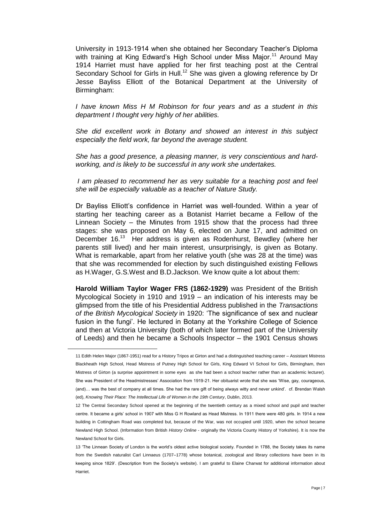University in 1913-1914 when she obtained her Secondary Teacher's Diploma with training at King Edward's High School under Miss Major.<sup>11</sup> Around May 1914 Harriet must have applied for her first teaching post at the Central Secondary School for Girls in Hull.<sup>12</sup> She was given a glowing reference by Dr Jesse Bayliss Elliott of the Botanical Department at the University of Birmingham:

*I have known Miss H M Robinson for four years and as a student in this department I thought very highly of her abilities.*

*She did excellent work in Botany and showed an interest in this subject especially the field work, far beyond the average student.*

*She has a good presence, a pleasing manner, is very conscientious and hardworking, and is likely to be successful in any work she undertakes.*

*I am pleased to recommend her as very suitable for a teaching post and feel she will be especially valuable as a teacher of Nature Study.*

Dr Bayliss Elliott's confidence in Harriet was well-founded. Within a year of starting her teaching career as a Botanist Harriet became a Fellow of the Linnean Society – the Minutes from 1915 show that the process had three stages: she was proposed on May 6, elected on June 17, and admitted on December 16.<sup>13</sup> Her address is given as Rodenhurst, Bewdley (where her parents still lived) and her main interest, unsurprisingly, is given as Botany. What is remarkable, apart from her relative youth (she was 28 at the time) was that she was recommended for election by such distinguished existing Fellows as H.Wager, G.S.West and B.D.Jackson. We know quite a lot about them:

**Harold William Taylor Wager FRS (1862-1929)** was President of the British Mycological Society in 1910 and 1919 – an indication of his interests may be glimpsed from the title of his Presidential Address published in the *Transactions of the British Mycological Society* in 1920: 'The significance of sex and nuclear fusion in the fungi'. He lectured in Botany at the Yorkshire College of Science and then at Victoria University (both of which later formed part of the University of Leeds) and then he became a Schools Inspector – the 1901 Census shows

<sup>11</sup> Edith Helen Major (1867-1951) read for a History Tripos at Girton and had a distinguished teaching career – Assistant Mistress Blackheath High School, Head Mistress of Putney High School for Girls, King Edward VI School for Girls, Birmingham, then Mistress of Girton (a surprise appointment in some eyes as she had been a school teacher rather than an academic lecturer). She was President of the Headmistresses' Association from 1919-21. Her obituarist wrote that she was 'Wise, gay, courageous, (and)… was the best of company at all times. She had the rare gift of being always witty and never unkind'. cf. Brendan Walsh (ed), *Knowing Their Place: The Intellectual Life of Women in the 19th Century*, Dublin, 2013.

<sup>12</sup> The Central Secondary School opened at the beginning of the twentieth century as a mixed school and pupil and teacher centre. It became a girls' school in 1907 with Miss G H Rowland as Head Mistress. In 1911 there were 480 girls. In 1914 a new building in Cottingham Road was completed but, because of the War, was not occupied until 1920, when the school became Newland High School. (Information from British *History Online* - originally the Victoria County History of Yorkshire). It is now the Newland School for Girls.

<sup>13</sup> 'The Linnean Society of London is the world's oldest active biological society. Founded in 1788, the Society takes its name from the Swedish naturalist Carl Linnaeus (1707–1778) whose botanical, zoological and library collections have been in its keeping since 1829'. (Description from the Society's website). I am grateful to Elaine Charwat for additional information about Harriet.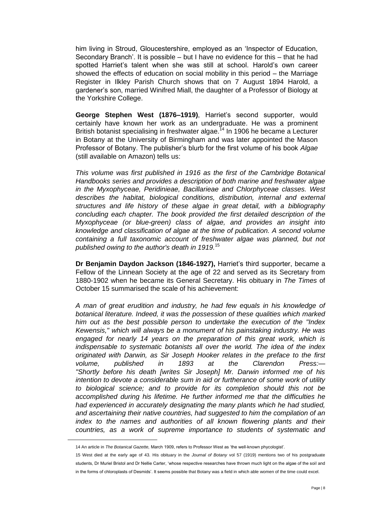him living in Stroud, Gloucestershire, employed as an 'Inspector of Education, Secondary Branch'. It is possible – but I have no evidence for this – that he had spotted Harriet's talent when she was still at school. Harold's own career showed the effects of education on social mobility in this period – the Marriage Register in Ilkley Parish Church shows that on 7 August 1894 Harold, a gardener's son, married Winifred Miall, the daughter of a Professor of Biology at the Yorkshire College.

**George Stephen West (1876–1919)**, Harriet's second supporter, would certainly have known her work as an undergraduate. He was a prominent British botanist specialising in freshwater algae.<sup>14</sup> In 1906 he became a Lecturer in Botany at the University of Birmingham and was later appointed the Mason Professor of Botany. The publisher's blurb for the first volume of his book *Algae*  (still available on Amazon) tells us:

*This volume was first published in 1916 as the first of the Cambridge Botanical Handbooks series and provides a description of both marine and freshwater algae in the Myxophyceae, Peridinieae, Bacillarieae and Chlorphyceae classes. West describes the habitat, biological conditions, distribution, internal and external structures and life history of these algae in great detail, with a bibliography concluding each chapter. The book provided the first detailed description of the Myxophyceae (or blue-green) class of algae, and provides an insight into knowledge and classification of algae at the time of publication. A second volume containing a full taxonomic account of freshwater algae was planned, but not published owing to the author's death in 1919.*<sup>15</sup>

**Dr Benjamin Daydon Jackson (1846-1927),** Harriet's third supporter, became a Fellow of the Linnean Society at the age of 22 and served as its Secretary from 1880-1902 when he became its General Secretary. His obituary in *The Times* of October 15 summarised the scale of his achievement:

*A man of great erudition and industry, he had few equals in his knowledge of botanical literature. Indeed, it was the possession of these qualities which marked him out as the best possible person to undertake the execution of the "Index Kewensis," which will always be a monument of his painstaking industry. He was engaged for nearly 14 years on the preparation of this great work, which is indispensable to systematic botanists all over the world. The idea of the index originated with Darwin, as Sir Joseph Hooker relates in the preface to the first volume, published in 1893 at the Clarendon Press:— "Shortly before his death [writes Sir Joseph] Mr. Darwin informed me of his intention to devote a considerable sum in aid or furtherance of some work of utility to biological science; and to provide for its completion should this not be accomplished during his lifetime. He further informed me that the difficulties he had experienced in accurately designating the many plants which he had studied, and ascertaining their native countries, had suggested to him the compilation of an index to the names and authorities of all known flowering plants and their countries, as a work of supreme importance to students of systematic and* 

<sup>14</sup> An article in *The Botanical Gazette,* March 1909, refers to Professor West as 'the well-known phycologist'.

<sup>15</sup> West died at the early age of 43. His obituary in the *Journal of Botany* vol 57 (1919) mentions two of his postgraduate students, Dr Muriel Bristol and Dr Nellie Carter, 'whose respective researches have thrown much light on the algae of the soil and in the forms of chloroplasts of Desmids'. It seems possible that Botany was a field in which able women of the time could excel.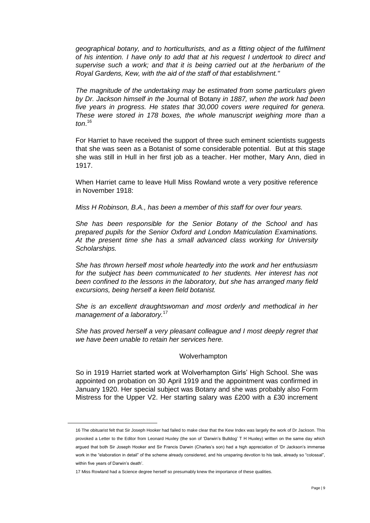*geographical botany, and to horticulturists, and as a fitting object of the fulfilment of his intention. I have only to add that at his request I undertook to direct and supervise such a work; and that it is being carried out at the herbarium of the Royal Gardens, Kew, with the aid of the staff of that establishment."*

*The magnitude of the undertaking may be estimated from some particulars given by Dr. Jackson himself in the* Journal of Botany *in 1887, when the work had been five years in progress. He states that 30,000 covers were required for genera. These were stored in 178 boxes, the whole manuscript weighing more than a ton*. 16

For Harriet to have received the support of three such eminent scientists suggests that she was seen as a Botanist of some considerable potential. But at this stage she was still in Hull in her first job as a teacher. Her mother, Mary Ann, died in 1917.

When Harriet came to leave Hull Miss Rowland wrote a very positive reference in November 1918:

*Miss H Robinson, B.A., has been a member of this staff for over four years.*

*She has been responsible for the Senior Botany of the School and has prepared pupils for the Senior Oxford and London Matriculation Examinations. At the present time she has a small advanced class working for University Scholarships.*

*She has thrown herself most whole heartedly into the work and her enthusiasm*  for the subject has been communicated to her students. Her interest has not *been confined to the lessons in the laboratory, but she has arranged many field excursions, being herself a keen field botanist.*

*She is an excellent draughtswoman and most orderly and methodical in her management of a laboratory.*<sup>17</sup>

*She has proved herself a very pleasant colleague and I most deeply regret that we have been unable to retain her services here.*

# Wolverhampton

So in 1919 Harriet started work at Wolverhampton Girls' High School. She was appointed on probation on 30 April 1919 and the appointment was confirmed in January 1920. Her special subject was Botany and she was probably also Form Mistress for the Upper V2. Her starting salary was £200 with a £30 increment

<sup>16</sup> The obituarist felt that Sir Joseph Hooker had failed to make clear that the Kew Index was largely the work of Dr Jackson. This provoked a Letter to the Editor from Leonard Huxley (the son of 'Darwin's Bulldog' T H Huxley) written on the same day which argued that both Sir Joseph Hooker and Sir Francis Darwin (Charles's son) had a high appreciation of 'Dr Jackson's immense work in the "elaboration in detail" of the scheme already considered, and his unsparing devotion to his task, already so "colossal", within five years of Darwin's death'.

<sup>17</sup> Miss Rowland had a Science degree herself so presumably knew the importance of these qualities.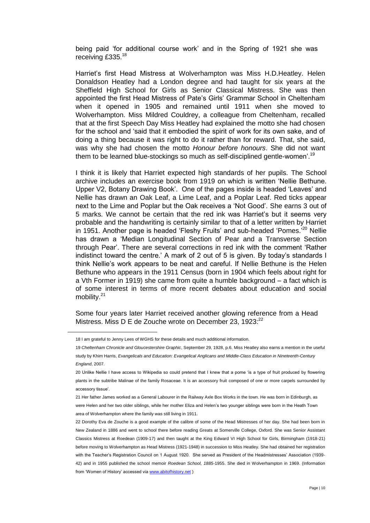being paid 'for additional course work' and in the Spring of 1921 she was receiving £335.<sup>18</sup>

Harriet's first Head Mistress at Wolverhampton was Miss H.D.Heatley. Helen Donaldson Heatley had a London degree and had taught for six years at the Sheffield High School for Girls as Senior Classical Mistress. She was then appointed the first Head Mistress of Pate's Girls' Grammar School in Cheltenham when it opened in 1905 and remained until 1911 when she moved to Wolverhampton. Miss Mildred Couldrey, a colleague from Cheltenham, recalled that at the first Speech Day Miss Heatley had explained the motto she had chosen for the school and 'said that it embodied the spirit of work for its own sake, and of doing a thing because it was right to do it rather than for reward. That, she said, was why she had chosen the motto *Honour before honours*. She did not want them to be learned blue-stockings so much as self-disciplined gentle-women'.<sup>19</sup>

I think it is likely that Harriet expected high standards of her pupils. The School archive includes an exercise book from 1919 on which is written 'Nellie Bethune. Upper V2, Botany Drawing Book'. One of the pages inside is headed 'Leaves' and Nellie has drawn an Oak Leaf, a Lime Leaf, and a Poplar Leaf. Red ticks appear next to the Lime and Poplar but the Oak receives a 'Not Good'. She earns 3 out of 5 marks. We cannot be certain that the red ink was Harriet's but it seems very probable and the handwriting is certainly similar to that of a letter written by Harriet in 1951. Another page is headed 'Fleshy Fruits' and sub-headed 'Pomes.<sup>'20</sup> Nellie has drawn a 'Median Longitudinal Section of Pear and a Transverse Section through Pear'. There are several corrections in red ink with the comment 'Rather indistinct toward the centre.' A mark of 2 out of 5 is given. By today's standards I think Nellie's work appears to be neat and careful. If Nellie Bethune is the Helen Bethune who appears in the 1911 Census (born in 1904 which feels about right for a Vth Former in 1919) she came from quite a humble background – a fact which is of some interest in terms of more recent debates about education and social mobility.<sup>21</sup>

Some four years later Harriet received another glowing reference from a Head Mistress. Miss D E de Zouche wrote on December 23, 1923:<sup>22</sup>

<sup>18</sup> I am grateful to Jenny Lees of WGHS for these details and much additional information.

<sup>19</sup> *Cheltenham Chronicle and Gloucestershire Graphic*, September 29, 1928, p.6. Miss Heatley also earns a mention in the useful study by Khim Harris, *Evangelicals and Education: Evangelical Anglicans and Middle-Class Education in Nineteenth-Century England*, 2007.

<sup>20</sup> Unlike Nellie I have access to Wikipedia so could pretend that I knew that a pome 'is a type of fruit produced by flowering plants in the subtribe Malinae of the family Rosaceae. It is an accessory fruit composed of one or more carpels surrounded by accessory tissue'.

<sup>21</sup> Her father James worked as a General Labourer in the Railway Axle Box Works in the town. He was born in Edinburgh, as were Helen and her two older siblings, while her mother Eliza and Helen's two younger siblings were born in the Heath Town area of Wolverhampton where the family was still living in 1911.

<sup>22</sup> Dorothy Eva de Zouche is a good example of the calibre of some of the Head Mistresses of her day. She had been born in New Zealand in 1886 and went to school there before reading Greats at Somerville College, Oxford. She was Senior Assistant Classics Mistress at Roedean (1909-17) and then taught at the King Edward VI High School for Girls, Birmingham (1918-21) before moving to Wolverhampton as Head Mistress (1921-1948) in succession to Miss Heatley. She had obtained her registration with the Teacher's Registration Council on 1 August 1920. She served as President of the Headmistresses' Association (1939- 42) and in 1955 published the school memoir *Roedean School, 1885-*1955. She died in Wolverhampton in 1969. (Information from 'Women of History' accessed vi[a www.abitofhistory.net](http://www.abitofhistory.net/) )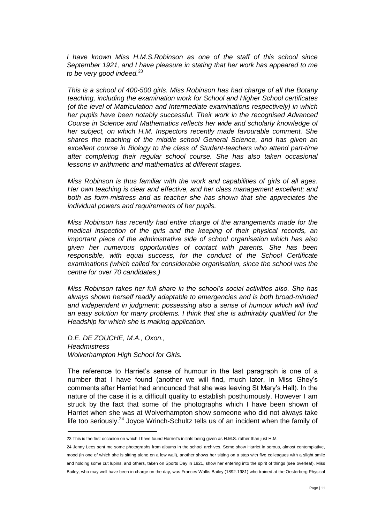*I have known Miss H.M.S.Robinson as one of the staff of this school since September 1921, and I have pleasure in stating that her work has appeared to me to be very good indeed.*<sup>23</sup>

*This is a school of 400-500 girls. Miss Robinson has had charge of all the Botany teaching, including the examination work for School and Higher School certificates (of the level of Matriculation and Intermediate examinations respectively) in which her pupils have been notably successful. Their work in the recognised Advanced Course in Science and Mathematics reflects her wide and scholarly knowledge of her subject, on which H.M. Inspectors recently made favourable comment. She shares the teaching of the middle school General Science, and has given an excellent course in Biology to the class of Student-teachers who attend part-time after completing their regular school course. She has also taken occasional lessons in arithmetic and mathematics at different stages.* 

*Miss Robinson is thus familiar with the work and capabilities of girls of all ages. Her own teaching is clear and effective, and her class management excellent; and both as form-mistress and as teacher she has shown that she appreciates the individual powers and requirements of her pupils.*

*Miss Robinson has recently had entire charge of the arrangements made for the medical inspection of the girls and the keeping of their physical records, an important piece of the administrative side of school organisation which has also given her numerous opportunities of contact with parents. She has been responsible, with equal success, for the conduct of the School Certificate examinations (which called for considerable organisation, since the school was the centre for over 70 candidates.)*

*Miss Robinson takes her full share in the school's social activities also. She has always shown herself readily adaptable to emergencies and is both broad-minded and independent in judgment; possessing also a sense of humour which will find an easy solution for many problems. I think that she is admirably qualified for the Headship for which she is making application.*

*D.E. DE ZOUCHE, M.A., Oxon., Headmistress Wolverhampton High School for Girls.*

 $\overline{a}$ 

The reference to Harriet's sense of humour in the last paragraph is one of a number that I have found (another we will find, much later, in Miss Ghey's comments after Harriet had announced that she was leaving St Mary's Hall). In the nature of the case it is a difficult quality to establish posthumously. However I am struck by the fact that some of the photographs which I have been shown of Harriet when she was at Wolverhampton show someone who did not always take life too seriously.<sup>24</sup> Joyce Wrinch-Schultz tells us of an incident when the family of

<sup>23</sup> This is the first occasion on which I have found Harriet's initials being given as H.M.S. rather than just H.M.

<sup>24</sup> Jenny Lees sent me some photographs from albums in the school archives. Some show Harriet in serous, almost contemplative, mood (in one of which she is sitting alone on a low wall), another shows her sitting on a step with five colleagues with a slight smile and holding some cut lupins, and others, taken on Sports Day in 1921, show her entering into the spirit of things (see overleaf). Miss Bailey, who may well have been in charge on the day, was Frances Wallis Bailey (1892-1981) who trained at the Oesterberg Physical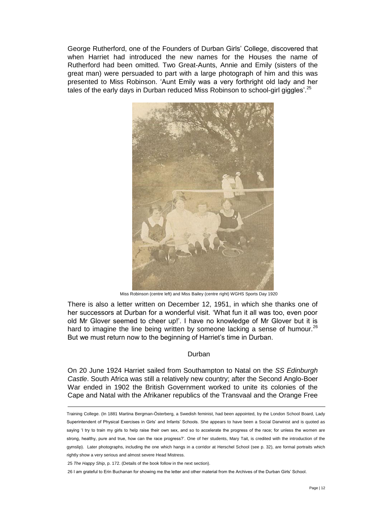George Rutherford, one of the Founders of Durban Girls' College, discovered that when Harriet had introduced the new names for the Houses the name of Rutherford had been omitted. Two Great-Aunts, Annie and Emily (sisters of the great man) were persuaded to part with a large photograph of him and this was presented to Miss Robinson. 'Aunt Emily was a very forthright old lady and her tales of the early days in Durban reduced Miss Robinson to school-girl giggles'.<sup>25</sup>



Miss Robinson (centre left) and Miss Bailey (centre right) WGHS Sports Day 1920

There is also a letter written on December 12, 1951, in which she thanks one of her successors at Durban for a wonderful visit. 'What fun it all was too, even poor old Mr Glover seemed to cheer up!'. I have no knowledge of Mr Glover but it is hard to imagine the line being written by someone lacking a sense of humour.<sup>26</sup> But we must return now to the beginning of Harriet's time in Durban.

### Durban

On 20 June 1924 Harriet sailed from Southampton to Natal on the *SS Edinburgh Castle*. South Africa was still a relatively new country; after the Second Anglo-Boer War ended in 1902 the British Government worked to unite its colonies of the Cape and Natal with the Afrikaner republics of the Transvaal and the Orange Free

Training College. (In 1881 Martina Bergman-Österberg, a Swedish feminist, had been appointed, by the London School Board, Lady Superintendent of Physical Exercises in Girls' and Infants' Schools. She appears to have been a Social Darwinist and is quoted as saying 'I try to train my girls to help raise their own sex, and so to accelerate the progress of the race; for unless the women are strong, healthy, pure and true, how can the race progress?'. One of her students, Mary Tait, is credited with the introduction of the gymslip). Later photographs, including the one which hangs in a corridor at Herschel School (see p. 32), are formal portraits which rightly show a very serious and almost severe Head Mistress.

<sup>25</sup> *The Happy Ship*, p. 172. (Details of the book follow in the next section).

<sup>26</sup> I am grateful to Erin Buchanan for showing me the letter and other material from the Archives of the Durban Girls' School.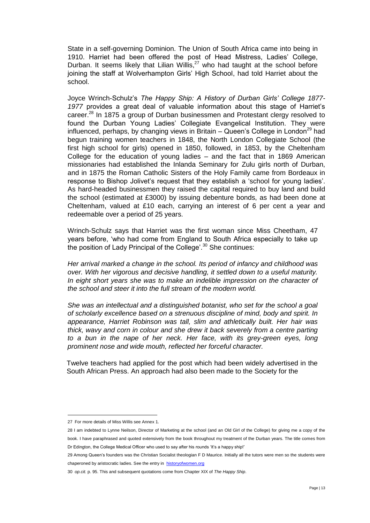State in a self-governing Dominion. The Union of South Africa came into being in 1910. Harriet had been offered the post of Head Mistress, Ladies' College, Durban. It seems likely that Lilian Willis, $27$  who had taught at the school before joining the staff at Wolverhampton Girls' High School, had told Harriet about the school.

Joyce Wrinch-Schulz's *The Happy Ship: A History of Durban Girls' College 1877- 1977* provides a great deal of valuable information about this stage of Harriet's career.<sup>28</sup> In 1875 a group of Durban businessmen and Protestant clergy resolved to found the Durban Young Ladies' Collegiate Evangelical Institution. They were influenced, perhaps, by changing views in Britain  $-$  Queen's College in London<sup>29</sup> had begun training women teachers in 1848, the North London Collegiate School (the first high school for girls) opened in 1850, followed, in 1853, by the Cheltenham College for the education of young ladies – and the fact that in 1869 American missionaries had established the Inlanda Seminary for Zulu girls north of Durban, and in 1875 the Roman Catholic Sisters of the Holy Family came from Bordeaux in response to Bishop Jolivet's request that they establish a 'school for young ladies'. As hard-headed businessmen they raised the capital required to buy land and build the school (estimated at £3000) by issuing debenture bonds, as had been done at Cheltenham, valued at £10 each, carrying an interest of 6 per cent a year and redeemable over a period of 25 years.

Wrinch-Schulz says that Harriet was the first woman since Miss Cheetham, 47 years before, 'who had come from England to South Africa especially to take up the position of Lady Principal of the College'.<sup>30</sup> She continues:

*Her arrival marked a change in the school. Its period of infancy and childhood was over. With her vigorous and decisive handling, it settled down to a useful maturity. In eight short years she was to make an indelible impression on the character of the school and steer it into the full stream of the modern world.*

*She was an intellectual and a distinguished botanist, who set for the school a goal of scholarly excellence based on a strenuous discipline of mind, body and spirit. In appearance, Harriet Robinson was tall, slim and athletically built. Her hair was thick, wavy and corn in colour and she drew it back severely from a centre parting*  to a bun in the nape of her neck. Her face, with its grey-green eyes, long *prominent nose and wide mouth, reflected her forceful character.*

Twelve teachers had applied for the post which had been widely advertised in the South African Press. An approach had also been made to the Society for the

<sup>27</sup> For more details of Miss Willis see Annex 1.

<sup>28</sup> I am indebted to Lynne Neilson, Director of Marketing at the school (and an Old Girl of the College) for giving me a copy of the book. I have paraphrased and quoted extensively from the book throughout my treatment of the Durban years. The title comes from Dr Edington, the College Medical Officer who used to say after his rounds 'It's a happy ship!'

<sup>29</sup> Among Queen's founders was the Christian Socialist theologian F D Maurice. Initially all the tutors were men so the students were chaperoned by aristocratic ladies. See the entry in [historyofwomen.org](#page-0-0)

<sup>30</sup> *op.cit.* p. 95. This and subsequent quotations come from Chapter XIX of *The Happy Ship*.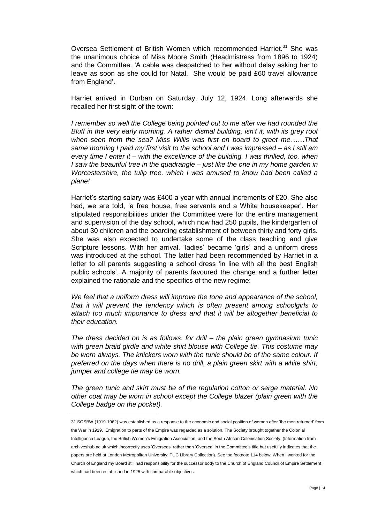Oversea Settlement of British Women which recommended Harriet.<sup>31</sup> She was the unanimous choice of Miss Moore Smith (Headmistress from 1896 to 1924) and the Committee. 'A cable was despatched to her without delay asking her to leave as soon as she could for Natal. She would be paid £60 travel allowance from England'.

Harriet arrived in Durban on Saturday, July 12, 1924. Long afterwards she recalled her first sight of the town:

*I* remember so well the College being pointed out to me after we had rounded the *Bluff in the very early morning. A rather dismal building, isn't it, with its grey roof when seen from the sea? Miss Willis was first on board to greet me……That same morning I paid my first visit to the school and I was impressed – as I still am every time I enter it – with the excellence of the building. I was thrilled, too, when I saw the beautiful tree in the quadrangle – just like the one in my home garden in Worcestershire, the tulip tree, which I was amused to know had been called a plane!*

Harriet's starting salary was £400 a year with annual increments of £20. She also had, we are told, 'a free house, free servants and a White housekeeper'. Her stipulated responsibilities under the Committee were for the entire management and supervision of the day school, which now had 250 pupils, the kindergarten of about 30 children and the boarding establishment of between thirty and forty girls. She was also expected to undertake some of the class teaching and give Scripture lessons. With her arrival, 'ladies' became 'girls' and a uniform dress was introduced at the school. The latter had been recommended by Harriet in a letter to all parents suggesting a school dress 'in line with all the best English public schools'. A majority of parents favoured the change and a further letter explained the rationale and the specifics of the new regime:

*We feel that a uniform dress will improve the tone and appearance of the school, that it will prevent the tendency which is often present among schoolgirls to attach too much importance to dress and that it will be altogether beneficial to their education.*

*The dress decided on is as follows: for drill – the plain green gymnasium tunic with green braid girdle and white shirt blouse with College tie. This costume may be worn always. The knickers worn with the tunic should be of the same colour. If preferred on the days when there is no drill, a plain green skirt with a white shirt, jumper and college tie may be worn.*

*The green tunic and skirt must be of the regulation cotton or serge material. No other coat may be worn in school except the College blazer (plain green with the College badge on the pocket).*

<sup>31</sup> SOSBW (1919-1962) was established as a response to the economic and social position of women after 'the men returned' from the War in 1919. Emigration to parts of the Empire was regarded as a solution. The Society brought together the Colonial Intelligence League, the British Women's Emigration Association, and the South African Colonisation Society. (Information from archiveshub.ac.uk which incorrectly uses 'Overseas' rather than 'Oversea' in the Committee's title but usefully indicates that the papers are held at London Metropolitan University: TUC Library Collection). See too footnote 114 below. When I worked for the Church of England my Board still had responsibility for the successor body to the Church of England Council of Empire Settlement which had been established in 1925 with comparable objectives.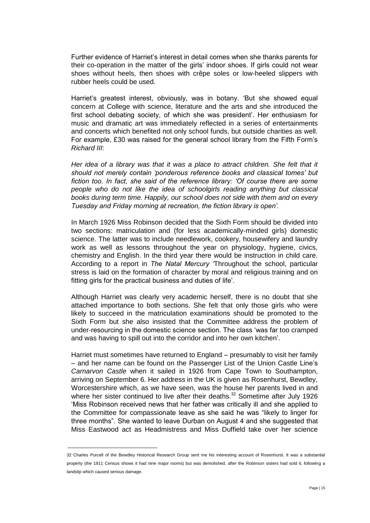Further evidence of Harriet's interest in detail comes when she thanks parents for their co-operation in the matter of the girls' indoor shoes. If girls could not wear shoes without heels, then shoes with crêpe soles or low-heeled slippers with rubber heels could be used.

Harriet's greatest interest, obviously, was in botany. 'But she showed equal concern at College with science, literature and the arts and she introduced the first school debating society, of which she was president'. Her enthusiasm for music and dramatic art was immediately reflected in a series of entertainments and concerts which benefited not only school funds, but outside charities as well. For example, £30 was raised for the general school library from the Fifth Form's *Richard III*:

*Her idea of a library was that it was a place to attract children. She felt that it should not merely contain 'ponderous reference books and classical tomes' but fiction too. In fact, she said of the reference library: 'Of course there are some people who do not like the idea of schoolgirls reading anything but classical books during term time. Happily, our school does not side with them and on every Tuesday and Friday morning at recreation, the fiction library is open'.*

In March 1926 Miss Robinson decided that the Sixth Form should be divided into two sections: matriculation and (for less academically-minded girls) domestic science. The latter was to include needlework, cookery, housewifery and laundry work as well as lessons throughout the year on physiology, hygiene, civics, chemistry and English. In the third year there would be instruction in child care. According to a report in *The Natal Mercury '*Throughout the school, particular stress is laid on the formation of character by moral and religious training and on fitting girls for the practical business and duties of life'.

Although Harriet was clearly very academic herself, there is no doubt that she attached importance to both sections. She felt that only those girls who were likely to succeed in the matriculation examinations should be promoted to the Sixth Form but she also insisted that the Committee address the problem of under-resourcing in the domestic science section. The class 'was far too cramped and was having to spill out into the corridor and into her own kitchen'.

Harriet must sometimes have returned to England – presumably to visit her family – and her name can be found on the Passenger List of the Union Castle Line's *Carnarvon Castle* when it sailed in 1926 from Cape Town to Southampton, arriving on September 6. Her address in the UK is given as Rosenhurst, Bewdley, Worcestershire which, as we have seen, was the house her parents lived in and where her sister continued to live after their deaths. $32$  Sometime after July 1926 'Miss Robinson received news that her father was critically ill and she applied to the Committee for compassionate leave as she said he was "likely to linger for three months". She wanted to leave Durban on August 4 and she suggested that Miss Eastwood act as Headmistress and Miss Duffield take over her science

<sup>32</sup> Charles Purcell of the Bewdley Historical Research Group sent me his interesting account of Rosenhurst. It was a substantial property (the 1911 Census shows it had nine major rooms) but was demolished, after the Robinson sisters had sold it, following a landslip which caused serious damage.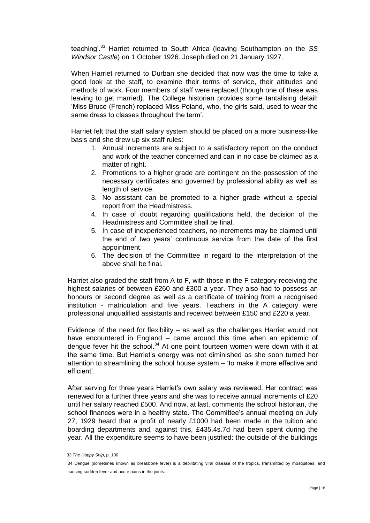teaching'.<sup>33</sup> Harriet returned to South Africa (leaving Southampton on the *SS Windsor Castle*) on 1 October 1926. Joseph died on 21 January 1927.

When Harriet returned to Durban she decided that now was the time to take a good look at the staff, to examine their terms of service, their attitudes and methods of work. Four members of staff were replaced (though one of these was leaving to get married). The College historian provides some tantalising detail: 'Miss Bruce (French) replaced Miss Poland, who, the girls said, used to wear the same dress to classes throughout the term'.

Harriet felt that the staff salary system should be placed on a more business-like basis and she drew up six staff rules:

- 1. Annual increments are subject to a satisfactory report on the conduct and work of the teacher concerned and can in no case be claimed as a matter of right.
- 2. Promotions to a higher grade are contingent on the possession of the necessary certificates and governed by professional ability as well as length of service.
- 3. No assistant can be promoted to a higher grade without a special report from the Headmistress.
- 4. In case of doubt regarding qualifications held, the decision of the Headmistress and Committee shall be final.
- 5. In case of inexperienced teachers, no increments may be claimed until the end of two years' continuous service from the date of the first appointment.
- 6. The decision of the Committee in regard to the interpretation of the above shall be final.

Harriet also graded the staff from A to F, with those in the F category receiving the highest salaries of between £260 and £300 a year. They also had to possess an honours or second degree as well as a certificate of training from a recognised institution - matriculation and five years. Teachers in the A category were professional unqualified assistants and received between £150 and £220 a year.

Evidence of the need for flexibility – as well as the challenges Harriet would not have encountered in England – came around this time when an epidemic of dengue fever hit the school. $34$  At one point fourteen women were down with it at the same time. But Harriet's energy was not diminished as she soon turned her attention to streamlining the school house system – 'to make it more effective and efficient'.

After serving for three years Harriet's own salary was reviewed. Her contract was renewed for a further three years and she was to receive annual increments of £20 until her salary reached £500. And now, at last, comments the school historian, the school finances were in a healthy state. The Committee's annual meeting on July 27, 1929 heard that a profit of nearly £1000 had been made in the tuition and boarding departments and, against this, £435.4s.7d had been spent during the year. All the expenditure seems to have been justified: the outside of the buildings

<sup>33</sup> *The Happy Ship*, p. 100.

<sup>34</sup> Dengue (sometimes known as breakbone fever) is a debilitating viral disease of the tropics, transmitted by mosquitoes, and causing sudden fever and acute pains in the joints.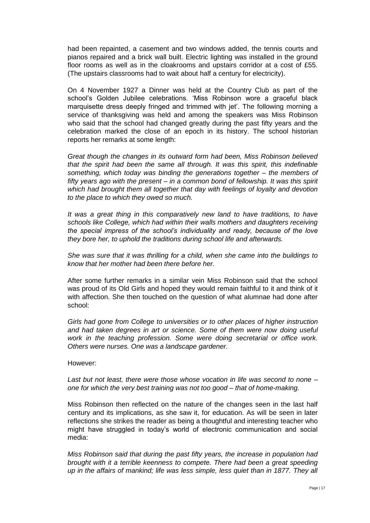had been repainted, a casement and two windows added, the tennis courts and pianos repaired and a brick wall built. Electric lighting was installed in the ground floor rooms as well as in the cloakrooms and upstairs corridor at a cost of £55. (The upstairs classrooms had to wait about half a century for electricity).

On 4 November 1927 a Dinner was held at the Country Club as part of the school's Golden Jubilee celebrations. 'Miss Robinson wore a graceful black marquisette dress deeply fringed and trimmed with jet'. The following morning a service of thanksgiving was held and among the speakers was Miss Robinson who said that the school had changed greatly during the past fifty years and the celebration marked the close of an epoch in its history. The school historian reports her remarks at some length:

*Great though the changes in its outward form had been, Miss Robinson believed that the spirit had been the same all through. It was this spirit, this indefinable something, which today was binding the generations together – the members of fifty years ago with the present – in a common bond of fellowship. It was this spirit which had brought them all together that day with feelings of loyalty and devotion to the place to which they owed so much.*

*It was a great thing in this comparatively new land to have traditions, to have schools like College, which had within their walls mothers and daughters receiving the special impress of the school's individuality and ready, because of the love they bore her, to uphold the traditions during school life and afterwards.*

*She was sure that it was thrilling for a child, when she came into the buildings to know that her mother had been there before her.*

After some further remarks in a similar vein Miss Robinson said that the school was proud of its Old Girls and hoped they would remain faithful to it and think of it with affection. She then touched on the question of what alumnae had done after school:

*Girls had gone from College to universities or to other places of higher instruction and had taken degrees in art or science. Some of them were now doing useful work in the teaching profession. Some were doing secretarial or office work. Others were nurses. One was a landscape gardener.*

# However:

*Last but not least, there were those whose vocation in life was second to none – one for which the very best training was not too good – that of home-making.*

Miss Robinson then reflected on the nature of the changes seen in the last half century and its implications, as she saw it, for education. As will be seen in later reflections she strikes the reader as being a thoughtful and interesting teacher who might have struggled in today's world of electronic communication and social media:

*Miss Robinson said that during the past fifty years, the increase in population had brought with it a terrible keenness to compete. There had been a great speeding up in the affairs of mankind; life was less simple, less quiet than in 1877. They all*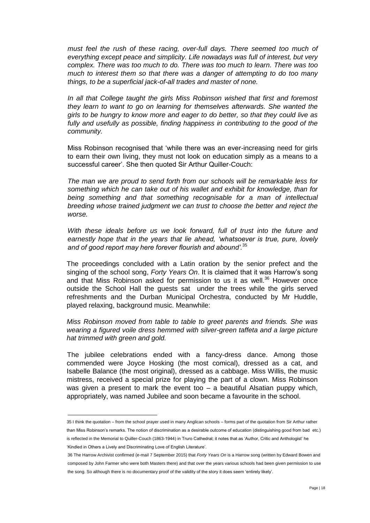must feel the rush of these racing, over-full days. There seemed too much of *everything except peace and simplicity. Life nowadays was full of interest, but very complex. There was too much to do. There was too much to learn. There was too much to interest them so that there was a danger of attempting to do too many things, to be a superficial jack-of-all trades and master of none.*

*In all that College taught the girls Miss Robinson wished that first and foremost they learn to want to go on learning for themselves afterwards. She wanted the girls to be hungry to know more and eager to do better, so that they could live as fully and usefully as possible, finding happiness in contributing to the good of the community.*

Miss Robinson recognised that 'while there was an ever-increasing need for girls to earn their own living, they must not look on education simply as a means to a successful career'. She then quoted Sir Arthur Quiller-Couch:

*The man we are proud to send forth from our schools will be remarkable less for something which he can take out of his wallet and exhibit for knowledge, than for being something and that something recognisable for a man of intellectual breeding whose trained judgment we can trust to choose the better and reject the worse.*

*With these ideals before us we look forward, full of trust into the future and earnestly hope that in the years that lie ahead, 'whatsoever is true, pure, lovely and of good report may here forever flourish and abound'.*<sup>35</sup>

The proceedings concluded with a Latin oration by the senior prefect and the singing of the school song, *Forty Years On*. It is claimed that it was Harrow's song and that Miss Robinson asked for permission to us it as well.<sup>36</sup> However once outside the School Hall the guests sat under the trees while the girls served refreshments and the Durban Municipal Orchestra, conducted by Mr Huddle, played relaxing, background music. Meanwhile:

*Miss Robinson moved from table to table to greet parents and friends. She was wearing a figured voile dress hemmed with silver-green taffeta and a large picture hat trimmed with green and gold.*

The jubilee celebrations ended with a fancy-dress dance. Among those commended were Joyce Hosking (the most comical), dressed as a cat, and Isabelle Balance (the most original), dressed as a cabbage. Miss Willis, the music mistress, received a special prize for playing the part of a clown. Miss Robinson was given a present to mark the event too – a beautiful Alsatian puppy which, appropriately, was named Jubilee and soon became a favourite in the school.

'Kindled in Others a Lively and Discriminating Love of English Literature'.

<sup>35</sup> I think the quotation – from the school prayer used in many Anglican schools – forms part of the quotation from Sir Arthur rather than Miss Robinson's remarks. The notion of discrimination as a desirable outcome of education (distinguishing good from bad etc.) is reflected in the Memorial to Quiller-Couch (1863-1944) in Truro Cathedral; it notes that as 'Author, Critic and Anthologist' he

<sup>36</sup> The Harrow Archivist confirmed (e-mail 7 September 2015) that *Forty Years On* is a Harrow song (written by Edward Bowen and composed by John Farmer who were both Masters there) and that over the years various schools had been given permission to use the song. So although there is no documentary proof of the validity of the story it does seem 'entirely likely'.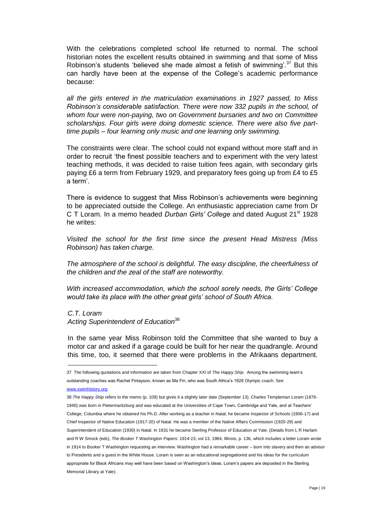With the celebrations completed school life returned to normal. The school historian notes the excellent results obtained in swimming and that some of Miss Robinson's students 'believed she made almost a fetish of swimming'.<sup>37</sup> But this can hardly have been at the expense of the College's academic performance because:

*all the girls entered in the matriculation examinations in 1927 passed, to Miss Robinson's considerable satisfaction. There were now 332 pupils in the school, of whom four were non-paying, two on Government bursaries and two on Committee scholarships. Four girls were doing domestic science. There were also five parttime pupils – four learning only music and one learning only swimming.*

The constraints were clear. The school could not expand without more staff and in order to recruit 'the finest possible teachers and to experiment with the very latest teaching methods, it was decided to raise tuition fees again, with secondary girls paying £6 a term from February 1929, and preparatory fees going up from £4 to £5 a term'.

There is evidence to suggest that Miss Robinson's achievements were beginning to be appreciated outside the College. An enthusiastic appreciation came from Dr C T Loram. In a memo headed *Durban Girls' College* and dated August 21st 1928 he writes:

*Visited the school for the first time since the present Head Mistress (Miss Robinson) has taken charge.*

*The atmosphere of the school is delightful. The easy discipline, the cheerfulness of the children and the zeal of the staff are noteworthy.*

*With increased accommodation, which the school sorely needs, the Girls' College would take its place with the other great girls' school of South Africa.*

*C.T. Loram*

*Acting Superintendent of Education*<sup>38</sup>

In the same year Miss Robinson told the Committee that she wanted to buy a motor car and asked if a garage could be built for her near the quadrangle. Around this time, too, it seemed that there were problems in the Afrikaans department.

<sup>37</sup> The following quotations and information are taken from Chapter XXI of *The Happy Ship*. Among the swimming team's outstanding coaches was Rachel Finlayson, known as Ma Fin, who was South Africa's 1928 Olympic coach. See

[www.swimhistory.org](file:///C:/Users/David/Documents/www.swimhistory.org) 

<sup>38</sup> *The Happy Ship* refers to the memo (p. 109) but gives it a slightly later date (September 13). Charles Templeman Loram (1879- 1940) was born in Pietermaritzburg and was educated at the Universities of Cape Town, Cambridge and Yale, and at Teachers' College, Columbia where he obtained his Ph.D. After working as a teacher in Natal, he became Inspector of Schools (1906-17) and Chief Inspector of Native Education (1917-20) of Natal. He was a member of the Native Affairs Commission (1920-29) and Superintendent of Education (1930) in Natal. In 1931 he became Sterling Professor of Education at Yale. (Details from L R Harlam and R W Smock (eds), *The Booker T Washington Papers: 1914-15*, vol 13, 1984, Illinois, p. 136, which includes a letter Loram wrote in 1914 to Booker T Washington requesting an interview. Washington had a remarkable career – born into slavery and then an advisor to Presidents and a guest in the White House. Loram is seen as an educational segregationist and his ideas for the curriculum appropriate for Black Africans may well have been based on Washington's ideas. Loram's papers are deposited in the Sterling Memorial Library at Yale).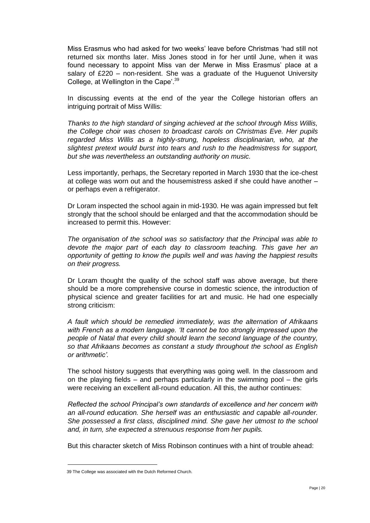Miss Erasmus who had asked for two weeks' leave before Christmas 'had still not returned six months later. Miss Jones stood in for her until June, when it was found necessary to appoint Miss van der Merwe in Miss Erasmus' place at a salary of £220 – non-resident. She was a graduate of the Huguenot University College, at Wellington in the Cape'.<sup>39</sup>

In discussing events at the end of the year the College historian offers an intriguing portrait of Miss Willis:

*Thanks to the high standard of singing achieved at the school through Miss Willis, the College choir was chosen to broadcast carols on Christmas Eve. Her pupils regarded Miss Willis as a highly-strung, hopeless disciplinarian, who, at the slightest pretext would burst into tears and rush to the headmistress for support, but she was nevertheless an outstanding authority on music.*

Less importantly, perhaps, the Secretary reported in March 1930 that the ice-chest at college was worn out and the housemistress asked if she could have another – or perhaps even a refrigerator.

Dr Loram inspected the school again in mid-1930. He was again impressed but felt strongly that the school should be enlarged and that the accommodation should be increased to permit this. However:

*The organisation of the school was so satisfactory that the Principal was able to devote the major part of each day to classroom teaching. This gave her an opportunity of getting to know the pupils well and was having the happiest results on their progress.*

Dr Loram thought the quality of the school staff was above average, but there should be a more comprehensive course in domestic science, the introduction of physical science and greater facilities for art and music. He had one especially strong criticism:

*A fault which should be remedied immediately, was the alternation of Afrikaans with French as a modern language. 'It cannot be too strongly impressed upon the people of Natal that every child should learn the second language of the country, so that Afrikaans becomes as constant a study throughout the school as English or arithmetic'.*

The school history suggests that everything was going well. In the classroom and on the playing fields  $-$  and perhaps particularly in the swimming pool  $-$  the girls were receiving an excellent all-round education. All this, the author continues:

*Reflected the school Principal's own standards of excellence and her concern with an all-round education. She herself was an enthusiastic and capable all-rounder. She possessed a first class, disciplined mind. She gave her utmost to the school and, in turn, she expected a strenuous response from her pupils.* 

But this character sketch of Miss Robinson continues with a hint of trouble ahead:

<sup>39</sup> The College was associated with the Dutch Reformed Church.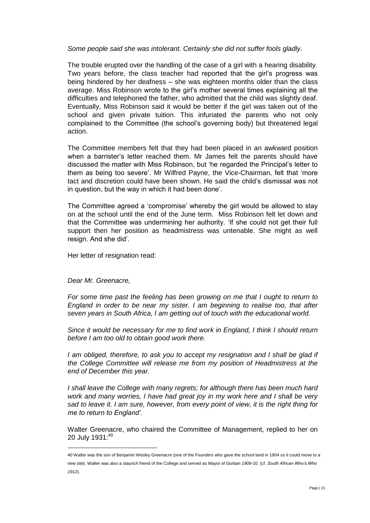*Some people said she was intolerant. Certainly she did not suffer fools gladly.*

The trouble erupted over the handling of the case of a girl with a hearing disability. Two years before, the class teacher had reported that the girl's progress was being hindered by her deafness – she was eighteen months older than the class average. Miss Robinson wrote to the girl's mother several times explaining all the difficulties and telephoned the father, who admitted that the child was slightly deaf. Eventually, Miss Robinson said it would be better if the girl was taken out of the school and given private tuition. This infuriated the parents who not only complained to the Committee (the school's governing body) but threatened legal action.

The Committee members felt that they had been placed in an awkward position when a barrister's letter reached them. Mr James felt the parents should have discussed the matter with Miss Robinson, but 'he regarded the Principal's letter to them as being too severe'. Mr Wilfred Payne, the Vice-Chairman, felt that 'more tact and discretion could have been shown. He said the child's dismissal was not in question, but the way in which it had been done'.

The Committee agreed a 'compromise' whereby the girl would be allowed to stay on at the school until the end of the June term. Miss Robinson felt let down and that the Committee was undermining her authority. 'If she could not get their full support then her position as headmistress was untenable. She might as well resign. And she did'.

Her letter of resignation read:

*Dear Mr. Greenacre,*

 $\overline{a}$ 

*For some time past the feeling has been growing on me that I ought to return to England in order to be near my sister. I am beginning to realise too, that after seven years in South Africa, I am getting out of touch with the educational world.*

*Since it would be necessary for me to find work in England, I think I should return before I am too old to obtain good work there.*

*I am obliged, therefore, to ask you to accept my resignation and I shall be glad if the College Committee will release me from my position of Headmistress at the end of December this year.*

*I* shall leave the College with many regrets; for although there has been much hard *work and many worries, I have had great joy in my work here and I shall be very sad to leave it. I am sure, however, from every point of view, it is the right thing for me to return to England'.*

Walter Greenacre, who chaired the Committee of Management, replied to her on 20 July 1931:40

<sup>40</sup> Walter was the son of Benjamin Wesley Greenacre (one of the Founders who gave the school land in 1904 so it could move to a new site). Walter was also a staunch friend of the College and served as Mayor of Durban 1909-10. (cf*. South African Who's Who 1912*).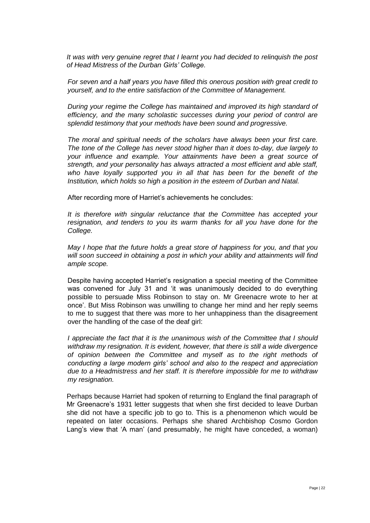*It was with very genuine regret that I learnt you had decided to relinquish the post of Head Mistress of the Durban Girls' College.*

*For seven and a half years you have filled this onerous position with great credit to yourself, and to the entire satisfaction of the Committee of Management.*

*During your regime the College has maintained and improved its high standard of efficiency, and the many scholastic successes during your period of control are splendid testimony that your methods have been sound and progressive.*

*The moral and spiritual needs of the scholars have always been your first care. The tone of the College has never stood higher than it does to-day, due largely to your influence and example. Your attainments have been a great source of strength, and your personality has always attracted a most efficient and able staff, who have loyally supported you in all that has been for the benefit of the Institution, which holds so high a position in the esteem of Durban and Natal.* 

After recording more of Harriet's achievements he concludes:

*It is therefore with singular reluctance that the Committee has accepted your resignation, and tenders to you its warm thanks for all you have done for the College.*

*May I hope that the future holds a great store of happiness for you, and that you will soon succeed in obtaining a post in which your ability and attainments will find ample scope.*

Despite having accepted Harriet's resignation a special meeting of the Committee was convened for July 31 and 'it was unanimously decided to do everything possible to persuade Miss Robinson to stay on. Mr Greenacre wrote to her at once'. But Miss Robinson was unwilling to change her mind and her reply seems to me to suggest that there was more to her unhappiness than the disagreement over the handling of the case of the deaf girl:

*I appreciate the fact that it is the unanimous wish of the Committee that I should withdraw my resignation. It is evident, however, that there is still a wide divergence of opinion between the Committee and myself as to the right methods of conducting a large modern girls' school and also to the respect and appreciation due to a Headmistress and her staff. It is therefore impossible for me to withdraw my resignation.*

Perhaps because Harriet had spoken of returning to England the final paragraph of Mr Greenacre's 1931 letter suggests that when she first decided to leave Durban she did not have a specific job to go to. This is a phenomenon which would be repeated on later occasions. Perhaps she shared Archbishop Cosmo Gordon Lang's view that 'A man' (and presumably, he might have conceded, a woman)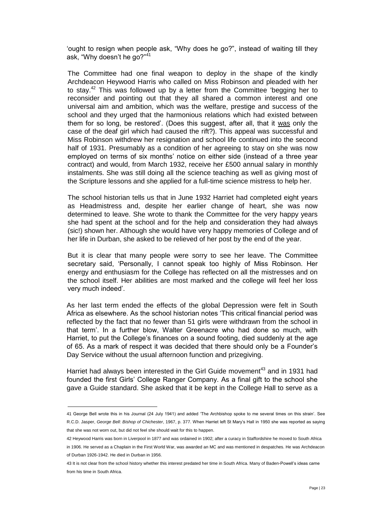'ought to resign when people ask, "Why does he go?", instead of waiting till they ask, "Why doesn't he go?"<sup>41</sup>

The Committee had one final weapon to deploy in the shape of the kindly Archdeacon Heywood Harris who called on Miss Robinson and pleaded with her to stay.<sup>42</sup> This was followed up by a letter from the Committee 'begging her to reconsider and pointing out that they all shared a common interest and one universal aim and ambition, which was the welfare, prestige and success of the school and they urged that the harmonious relations which had existed between them for so long, be restored'. (Does this suggest, after all, that it was only the case of the deaf girl which had caused the rift?). This appeal was successful and Miss Robinson withdrew her resignation and school life continued into the second half of 1931. Presumably as a condition of her agreeing to stay on she was now employed on terms of six months' notice on either side (instead of a three year contract) and would, from March 1932, receive her £500 annual salary in monthly instalments. She was still doing all the science teaching as well as giving most of the Scripture lessons and she applied for a full-time science mistress to help her.

The school historian tells us that in June 1932 Harriet had completed eight years as Headmistress and, despite her earlier change of heart, she was now determined to leave. She wrote to thank the Committee for the very happy years she had spent at the school and for the help and consideration they had always (sic!) shown her. Although she would have very happy memories of College and of her life in Durban, she asked to be relieved of her post by the end of the year.

But it is clear that many people were sorry to see her leave. The Committee secretary said, 'Personally, I cannot speak too highly of Miss Robinson. Her energy and enthusiasm for the College has reflected on all the mistresses and on the school itself. Her abilities are most marked and the college will feel her loss very much indeed'.

As her last term ended the effects of the global Depression were felt in South Africa as elsewhere. As the school historian notes 'This critical financial period was reflected by the fact that no fewer than 51 girls were withdrawn from the school in that term'. In a further blow, Walter Greenacre who had done so much, with Harriet, to put the College's finances on a sound footing, died suddenly at the age of 65. As a mark of respect it was decided that there should only be a Founder's Day Service without the usual afternoon function and prizegiving.

Harriet had always been interested in the Girl Guide movement<sup>43</sup> and in 1931 had founded the first Girls' College Ranger Company. As a final gift to the school she gave a Guide standard. She asked that it be kept in the College Hall to serve as a

<sup>41</sup> George Bell wrote this in his Journal (24 July 1941) and added 'The Archbishop spoke to me several times on this strain'. See R.C.D. Jasper, *George Bell: Bishop of Chichester*, 1967, p. 377. When Harriet left St Mary's Hall in 1950 she was reported as saying that she was not worn out, but did not feel she should wait for this to happen.

<sup>42</sup> Heywood Harris was born in Liverpool in 1877 and was ordained in 1902; after a curacy in Staffordshire he moved to South Africa

in 1906. He served as a Chaplain in the First World War, was awarded an MC and was mentioned in despatches. He was Archdeacon of Durban 1926-1942. He died in Durban in 1956.

<sup>43</sup> It is not clear from the school history whether this interest predated her time in South Africa. Many of Baden-Powell's ideas came from his time in South Africa.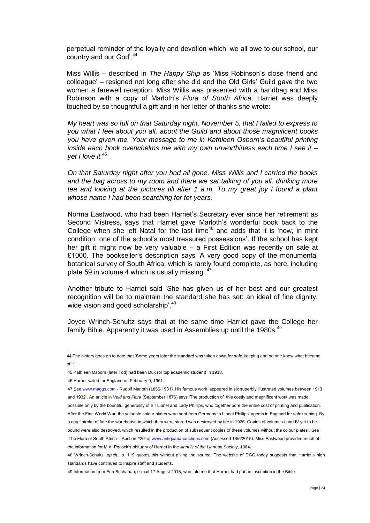perpetual reminder of the loyalty and devotion which 'we all owe to our school, our country and our God'.<sup>44</sup>

Miss Willis – described in *The Happy Ship* as 'Miss Robinson's close friend and colleague' – resigned not long after she did and the Old Girls' Guild gave the two women a farewell reception. Miss Willis was presented with a handbag and Miss Robinson with a copy of Marloth's *Flora of South Africa*. Harriet was deeply touched by so thoughtful a gift and in her letter of thanks she wrote:

*My heart was so full on that Saturday night, November 5, that I failed to express to you what I feel about you all, about the Guild and about those magnificent books you have given me. Your message to me in Kathleen Osborn's beautiful printing inside each book overwhelms me with my own unworthiness each time I see it – yet I love it.*<sup>45</sup>

*On that Saturday night after you had all gone, Miss Willis and I carried the books and the bag across to my room and there we sat talking of you all, drinking more tea and looking at the pictures till after 1 a.m. To my great joy I found a plant whose name I had been searching for for years.*

Norma Eastwood, who had been Harriet's Secretary ever since her retirement as Second Mistress, says that Harriet gave Marloth's wonderful book back to the College when she left Natal for the last time<sup>46</sup> and adds that it is 'now, in mint condition, one of the school's most treasured possessions'. If the school has kept her gift it might now be very valuable – a First Edition was recently on sale at £1000. The bookseller's description says 'A very good copy of the monumental botanical survey of South Africa, which is rarely found complete, as here, including plate 59 in volume 4 which is usually missing<sup>'.47</sup>

Another tribute to Harriet said 'She has given us of her best and our greatest recognition will be to maintain the standard she has set: an ideal of fine dignity, wide vision and good scholarship'.<sup>48</sup>

Joyce Wrinch-Schultz says that at the same time Harriet gave the College her family Bible. Apparently it was used in Assemblies up until the 1980s.<sup>49</sup>

46 Harriet sailed for England on February 9, 1961.

- 47 See [www.maggs.com](http://www.maggs.com/) Rudolf Marloth (1855-1931). His famous work 'appeared in six superbly illustrated volumes between 1913 and 1932'. An article in *Veld and Flora* (September 1876) says 'The production of this costly and magnificent work was made possible only by the bountiful generosity of Sir Lionel and Lady Phillips, who together bore the entire cost of printing and publication.
- After the First World War, the valuable colour plates were sent from Germany to Lionel Phillips' agents in England for safekeeping. By a cruel stroke of fate the warehouse in which they were stored was destroyed by fire in 1926. Copies of volumes I and IV yet to be bound were also destroyed, which resulted in the production of subsequent copies of these volumes without the colour plates'. See

<sup>44</sup> The history goes on to note that 'Some years later the standard was taken down for safe-keeping and no one knew what became of it'.

<sup>45</sup> Kathleen Osborn (later Tod) had been Dux (or top academic student) in 1918.

<sup>&#</sup>x27;The Flora of South Africa - Auction #20' a[t www.antiquarianauctions.com](http://www.antiquarianauctions.com/) (Accessed 13/6/2015). Miss Eastwood provided much of the information for M.A. Pocock's obituary of Harriet in the *Annals of the Linnean Society*, 1964.

<sup>48</sup> Wrinch-Schultz, *op.cit.*, p. 119 quotes this without giving the source. The website of DGC today suggests that Harriet's high standards have continued to inspire staff and students.

<sup>49</sup> Information from Erin Buchanan, e-mail 17 August 2015, who told me that Harriet had put an inscription in the Bible.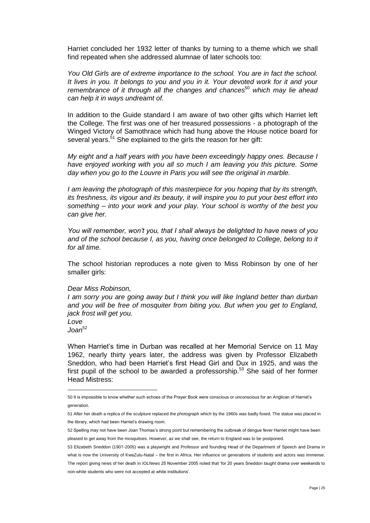Harriet concluded her 1932 letter of thanks by turning to a theme which we shall find repeated when she addressed alumnae of later schools too:

*You Old Girls are of extreme importance to the school. You are in fact the school. It lives in you. It belongs to you and you in it. Your devoted work for it and your remembrance of it through all the changes and chances*<sup>50</sup> *which may lie ahead can help it in ways undreamt of.*

In addition to the Guide standard I am aware of two other gifts which Harriet left the College. The first was one of her treasured possessions - a photograph of the Winged Victory of Samothrace which had hung above the House notice board for several years.<sup>51</sup> She explained to the girls the reason for her gift:

*My eight and a half years with you have been exceedingly happy ones. Because I have enjoyed working with you all so much I am leaving you this picture. Some day when you go to the Louvre in Paris you will see the original in marble.*

*I* am leaving the photograph of this masterpiece for you hoping that by its strength, *its freshness, its vigour and its beauty, it will inspire you to put your best effort into something – into your work and your play. Your school is worthy of the best you can give her.*

*You will remember, won't you, that I shall always be delighted to have news of you*  and of the school because I, as you, having once belonged to College, belong to it *for all time.*

The school historian reproduces a note given to Miss Robinson by one of her smaller girls:

# *Dear Miss Robinson,*

*I am sorry you are going away but I think you will like Ingland better than durban and you will be free of mosquiter from biting you. But when you get to England, jack frost will get you.*

*Love Joan*<sup>52</sup>

 $\overline{a}$ 

When Harriet's time in Durban was recalled at her Memorial Service on 11 May 1962, nearly thirty years later, the address was given by Professor Elizabeth Sneddon, who had been Harriet's first Head Girl and Dux in 1925, and was the first pupil of the school to be awarded a professorship.<sup>53</sup> She said of her former Head Mistress:

<sup>50</sup> It is impossible to know whether such echoes of the Prayer Book were conscious or unconscious for an Anglican of Harriet's generation.

<sup>51</sup> After her death a replica of the sculpture replaced the photograph which by the 1960s was badly foxed. The statue was placed in the library, which had been Harriet's drawing room.

<sup>52</sup> Spelling may not have been Joan Thomas's strong point but remembering the outbreak of dengue fever Harriet might have been pleased to get away from the mosquitoes. However, as we shall see, the return to England was to be postponed.

<sup>53</sup> Elizabeth Sneddon (1907-2005) was a playwright and Professor and founding Head of the Department of Speech and Drama in what is now the University of KwaZulu-Natal – the first in Africa. Her influence on generations of students and actors was immense. The report giving news of her death in *IOLNews* 25 November 2005 noted that 'for 20 years Sneddon taught drama over weekends to non-white students who were not accepted at white institutions'.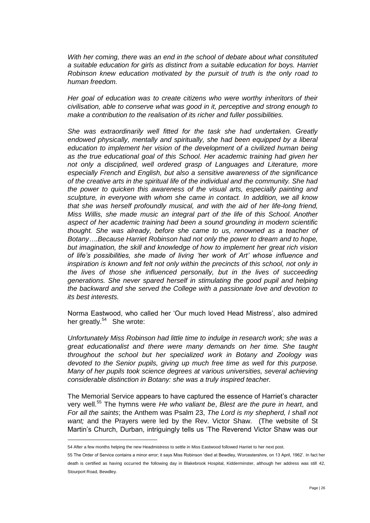*With her coming, there was an end in the school of debate about what constituted a suitable education for girls as distinct from a suitable education for boys. Harriet Robinson knew education motivated by the pursuit of truth is the only road to human freedom.*

*Her goal of education was to create citizens who were worthy inheritors of their civilisation, able to conserve what was good in it, perceptive and strong enough to make a contribution to the realisation of its richer and fuller possibilities.*

*She was extraordinarily well fitted for the task she had undertaken. Greatly endowed physically, mentally and spiritually, she had been equipped by a liberal education to implement her vision of the development of a civilized human being as the true educational goal of this School. Her academic training had given her not only a disciplined, well ordered grasp of Languages and Literature, more especially French and English, but also a sensitive awareness of the significance of the creative arts in the spiritual life of the individual and the community. She had the power to quicken this awareness of the visual arts, especially painting and sculpture, in everyone with whom she came in contact. In addition, we all know that she was herself profoundly musical, and with the aid of her life-long friend, Miss Willis, she made music an integral part of the life of this School. Another aspect of her academic training had been a sound grounding in modern scientific thought. She was already, before she came to us, renowned as a teacher of Botany….Because Harriet Robinson had not only the power to dream and to hope, but imagination, the skill and knowledge of how to implement her great rich vision of life's possibilities, she made of living 'her work of Art' whose influence and inspiration is known and felt not only within the precincts of this school, not only in the lives of those she influenced personally, but in the lives of succeeding generations. She never spared herself in stimulating the good pupil and helping the backward and she served the College with a passionate love and devotion to its best interests.*

Norma Eastwood, who called her 'Our much loved Head Mistress', also admired her greatly.<sup>54</sup> She wrote:

*Unfortunately Miss Robinson had little time to indulge in research work; she was a great educationalist and there were many demands on her time. She taught throughout the school but her specialized work in Botany and Zoology was devoted to the Senior pupils, giving up much free time as well for this purpose. Many of her pupils took science degrees at various universities, several achieving considerable distinction in Botany: she was a truly inspired teacher.*

The Memorial Service appears to have captured the essence of Harriet's character very well.<sup>55</sup> The hymns were *He who valiant be*, *Blest are the pure in heart*, and *For all the saints*; the Anthem was Psalm 23, *The Lord is my shepherd, I shall not want;* and the Prayers were led by the Rev. Victor Shaw. (The website of St Martin's Church, Durban, intriguingly tells us 'The Reverend Victor Shaw was our

<sup>54</sup> After a few months helping the new Headmistress to settle in Miss Eastwood followed Harriet to her next post.

<sup>55</sup> The Order of Service contains a minor error; it says Miss Robinson 'died at Bewdley, Worcestershire, on 13 April, 1962'. In fact her death is certified as having occurred the following day in Blakebrook Hospital, Kidderminster, although her address was still 42, Stourport Road, Bewdley.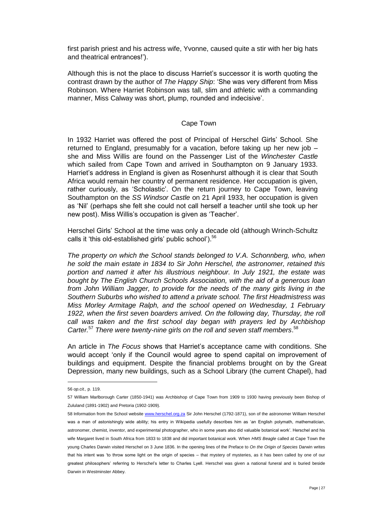first parish priest and his actress wife, Yvonne, caused quite a stir with her big hats and theatrical entrances!').

Although this is not the place to discuss Harriet's successor it is worth quoting the contrast drawn by the author of *The Happy Ship*: 'She was very different from Miss Robinson. Where Harriet Robinson was tall, slim and athletic with a commanding manner, Miss Calway was short, plump, rounded and indecisive'.

# Cape Town

In 1932 Harriet was offered the post of Principal of Herschel Girls' School. She returned to England, presumably for a vacation, before taking up her new job – she and Miss Willis are found on the Passenger List of the *Winchester Castle*  which sailed from Cape Town and arrived in Southampton on 9 January 1933. Harriet's address in England is given as Rosenhurst although it is clear that South Africa would remain her country of permanent residence. Her occupation is given, rather curiously, as 'Scholastic'. On the return journey to Cape Town, leaving Southampton on the *SS Windsor Castle* on 21 April 1933, her occupation is given as 'Nil' (perhaps she felt she could not call herself a teacher until she took up her new post). Miss Willis's occupation is given as 'Teacher'.

Herschel Girls' School at the time was only a decade old (although Wrinch-Schultz calls it 'this old-established girls' public school').<sup>56</sup>

*The property on which the School stands belonged to V.A. Schonnberg, who, when he sold the main estate in 1834 to Sir John Herschel, the astronomer, retained this portion and named it after his illustrious neighbour. In July 1921, the estate was bought by The English Church Schools Association, with the aid of a generous loan from John William Jagger, to provide for the needs of the many girls living in the Southern Suburbs who wished to attend a private school. The first Headmistress was Miss Morley Armitage Ralph, and the school opened on Wednesday, 1 February 1922, when the first seven boarders arrived. On the following day, Thursday, the roll call was taken and the first school day began with prayers led by Archbishop Carter.*<sup>57</sup> *There were twenty-nine girls on the roll and seven staff members*. 58

An article in *The Focus* shows that Harriet's acceptance came with conditions. She would accept 'only if the Council would agree to spend capital on improvement of buildings and equipment. Despite the financial problems brought on by the Great Depression, many new buildings, such as a School Library (the current Chapel), had

<sup>56</sup> *op.cit.,* p. 119.

<sup>57</sup> William Marlborough Carter (1850-1941) was Archbishop of Cape Town from 1909 to 1930 having previously been Bishop of Zululand (1891-1902) and Pretoria (1902-1909).

<sup>58</sup> Information from the School website [www.herschel.org.za](http://www.herschel.org.za/) Sir John Herschel (1792-1871), son of the astronomer William Herschel was a man of astonishingly wide ability; his entry in Wikipedia usefully describes him as 'an English polymath, mathematician, astronomer, chemist, inventor, and experimental photographer, who in some years also did valuable botanical work'. Herschel and his wife Margaret lived in South Africa from 1833 to 1838 and did important botanical work. When *HMS Beagle* called at Cape Town the young Charles Darwin visited Herschel on 3 June 1836. In the opening lines of the Preface to *On the Origin of Species* Darwin writes that his intent was 'to throw some light on the origin of species – that mystery of mysteries, as it has been called by one of our greatest philosophers' referring to Herschel's letter to Charles Lyell. Herschel was given a national funeral and is buried beside Darwin in Westminster Abbey.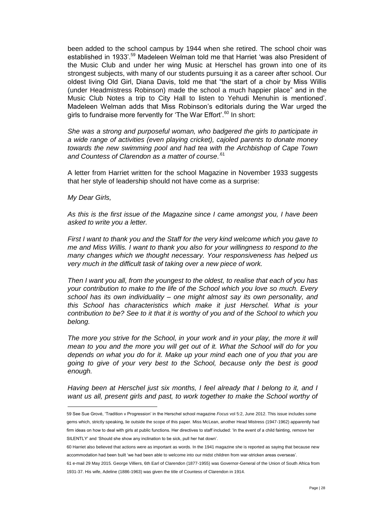been added to the school campus by 1944 when she retired. The school choir was established in 1933'.<sup>59</sup> Madeleen Welman told me that Harriet 'was also President of the Music Club and under her wing Music at Herschel has grown into one of its strongest subjects, with many of our students pursuing it as a career after school. Our oldest living Old Girl, Diana Davis, told me that "the start of a choir by Miss Willis (under Headmistress Robinson) made the school a much happier place" and in the Music Club Notes a trip to City Hall to listen to Yehudi Menuhin is mentioned'. Madeleen Welman adds that Miss Robinson's editorials during the War urged the girls to fundraise more fervently for 'The War Effort'.<sup>60</sup> In short:

*She was a strong and purposeful woman, who badgered the girls to participate in a wide range of activities (even playing cricket), cajoled parents to donate money towards the new swimming pool and had tea with the Archbishop of Cape Town and Countess of Clarendon as a matter of course*. .61

A letter from Harriet written for the school Magazine in November 1933 suggests that her style of leadership should not have come as a surprise:

*My Dear Girls,*

 $\overline{a}$ 

*As this is the first issue of the Magazine since I came amongst you, I have been asked to write you a letter.*

*First I want to thank you and the Staff for the very kind welcome which you gave to me and Miss Willis. I want to thank you also for your willingness to respond to the many changes which we thought necessary. Your responsiveness has helped us very much in the difficult task of taking over a new piece of work.*

*Then I want you all, from the youngest to the oldest, to realise that each of you has your contribution to make to the life of the School which you love so much. Every school has its own individuality – one might almost say its own personality, and this School has characteristics which make it just Herschel. What is your contribution to be? See to it that it is worthy of you and of the School to which you belong.*

The more you strive for the School, in your work and in your play, the more it will *mean to you and the more you will get out of it. What the School will do for you depends on what you do for it. Make up your mind each one of you that you are going to give of your very best to the School, because only the best is good enough.*

*Having been at Herschel just six months, I feel already that I belong to it, and I want us all, present girls and past, to work together to make the School worthy of* 

<sup>59</sup> See Sue Grové, 'Tradition v Progression' in the Herschel school magazine *Focus* vol 5:2, June 2012. This issue includes some gems which, strictly speaking, lie outside the scope of this paper. Miss McLean, another Head Mistress (1947-1962) apparently had firm ideas on how to deal with girls at public functions. Her directives to staff included: 'In the event of a child fainting, remove her SILENTLY' and 'Should she show any inclination to be sick, pull her hat down'.

<sup>60</sup> Harriet also believed that actions were as important as words. In the 1941 magazine she is reported as saying that because new accommodation had been built 'we had been able to welcome into our midst children from war-stricken areas overseas'.

<sup>61</sup> e-mail 29 May 2015. George Villiers, 6th Earl of Clarendon (1877-1955) was Governor-General of the Union of South Africa from 1931-37. His wife, Adeline (1886-1963) was given the title of Countess of Clarendon in 1914.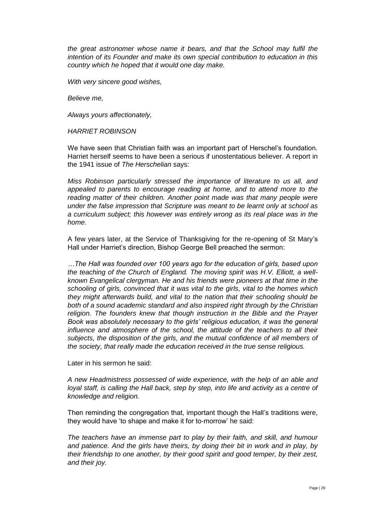*the great astronomer whose name it bears, and that the School may fulfil the intention of its Founder and make its own special contribution to education in this country which he hoped that it would one day make.*

*With very sincere good wishes,*

*Believe me,*

*Always yours affectionately,*

*HARRIET ROBINSON*

We have seen that Christian faith was an important part of Herschel's foundation. Harriet herself seems to have been a serious if unostentatious believer. A report in the 1941 issue of *The Herschelian* says:

*Miss Robinson particularly stressed the importance of literature to us all, and appealed to parents to encourage reading at home, and to attend more to the reading matter of their children. Another point made was that many people were under the false impression that Scripture was meant to be learnt only at school as a curriculum subject; this however was entirely wrong as its real place was in the home*.

A few years later, at the Service of Thanksgiving for the re-opening of St Mary's Hall under Harriet's direction, Bishop George Bell preached the sermon:

*…The Hall was founded over 100 years ago for the education of girls, based upon the teaching of the Church of England. The moving spirit was H.V. Elliott, a wellknown Evangelical clergyman. He and his friends were pioneers at that time in the schooling of girls, convinced that it was vital to the girls, vital to the homes which they might afterwards build, and vital to the nation that their schooling should be both of a sound academic standard and also inspired right through by the Christian religion. The founders knew that though instruction in the Bible and the Prayer Book was absolutely necessary to the girls' religious education, it was the general influence and atmosphere of the school, the attitude of the teachers to all their subjects, the disposition of the girls, and the mutual confidence of all members of the society, that really made the education received in the true sense religious.*

Later in his sermon he said:

*A new Headmistress possessed of wide experience, with the help of an able and loyal staff, is calling the Hall back, step by step, into life and activity as a centre of knowledge and religion.*

Then reminding the congregation that, important though the Hall's traditions were, they would have 'to shape and make it for to-morrow' he said:

*The teachers have an immense part to play by their faith, and skill, and humour and patience. And the girls have theirs, by doing their bit in work and in play, by their friendship to one another, by their good spirit and good temper, by their zest, and their joy.*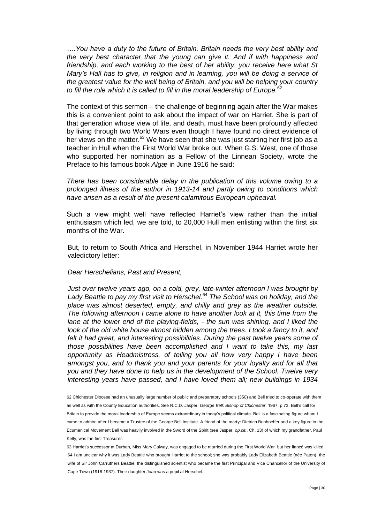*….You have a duty to the future of Britain. Britain needs the very best ability and the very best character that the young can give it. And if with happiness and friendship, and each working to the best of her ability, you receive here what St Mary's Hall has to give, in religion and in learning, you will be doing a service of the greatest value for the well being of Britain, and you will be helping your country*  to fill the role which it is called to fill in the moral leadership of Europe.<sup>62</sup>

The context of this sermon – the challenge of beginning again after the War makes this is a convenient point to ask about the impact of war on Harriet. She is part of that generation whose view of life, and death, must have been profoundly affected by living through two World Wars even though I have found no direct evidence of her views on the matter.<sup>63</sup> We have seen that she was just starting her first job as a teacher in Hull when the First World War broke out. When G.S. West, one of those who supported her nomination as a Fellow of the Linnean Society, wrote the Preface to his famous book *Algæ* in June 1916 he said:

*There has been considerable delay in the publication of this volume owing to a prolonged illness of the author in 1913-14 and partly owing to conditions which have arisen as a result of the present calamitous European upheaval.*

Such a view might well have reflected Harriet's view rather than the initial enthusiasm which led, we are told, to 20,000 Hull men enlisting within the first six months of the War.

But, to return to South Africa and Herschel, in November 1944 Harriet wrote her valedictory letter:

#### *Dear Herschelians, Past and Present,*

 $\overline{a}$ 

*Just over twelve years ago, on a cold, grey, late-winter afternoon I was brought by Lady Beattie to pay my first visit to Herschel.*<sup>64</sup> *The School was on holiday, and the place was almost deserted, empty, and chilly and grey as the weather outside. The following afternoon I came alone to have another look at it, this time from the lane at the lower end of the playing-fields, - the sun was shining, and I liked the look of the old white house almost hidden among the trees. I took a fancy to it, and felt it had great, and interesting possibilities. During the past twelve years some of those possibilities have been accomplished and I want to take this, my last opportunity as Headmistress, of telling you all how very happy I have been amongst you, and to thank you and your parents for your loyalty and for all that you and they have done to help us in the development of the School. Twelve very interesting years have passed, and I have loved them all; new buildings in 1934* 

<sup>62</sup> Chichester Diocese had an unusually large number of public and preparatory schools (350) and Bell tried to co-operate with them as well as with the County Education authorities. See R.C.D. Jasper, *George Bell: Bishop of Chichester*, 1967, p.73. Bell's call for Britain to provide the moral leadership of Europe seems extraordinary in today's political climate. Bell is a fascinating figure whom I came to admire after I became a Trustee of the George Bell Institute. A friend of the martyr Dietrich Bonhoeffer and a key figure in the Ecumenical Movement Bell was heavily involved in the Sword of the Spirit (see Jasper, *op.cit.*, Ch. 13) of which my grandfather, Paul Kelly, was the first Treasurer.

<sup>63</sup> Harriet's successor at Durban, Miss Mary Calway, was engaged to be married during the First World War but her fiancé was killed 64 I am unclear why it was Lady Beattie who brought Harriet to the school; she was probably Lady Elizabeth Beattie (née Paton) the wife of Sir John Carruthers Beattie, the distinguished scientist who became the first Principal and Vice Chancellor of the University of Cape Town (1918-1937). Their daughter Joan was a pupil at Herschel.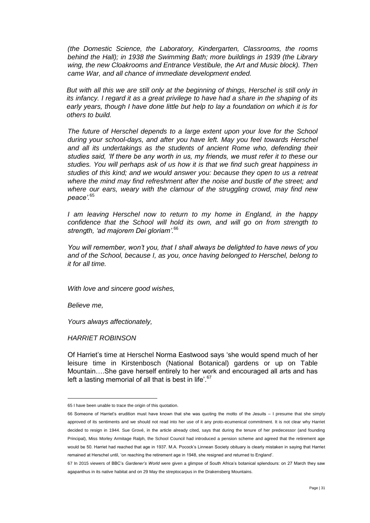*(the Domestic Science, the Laboratory, Kindergarten, Classrooms, the rooms behind the Hall); in 1938 the Swimming Bath; more buildings in 1939 (the Library wing, the new Cloakrooms and Entrance Vestibule, the Art and Music block). Then came War, and all chance of immediate development ended.*

*But with all this we are still only at the beginning of things, Herschel is still only in its infancy. I regard it as a great privilege to have had a share in the shaping of its early years, though I have done little but help to lay a foundation on which it is for others to build.*

*The future of Herschel depends to a large extent upon your love for the School during your school-days, and after you have left. May you feel towards Herschel and all its undertakings as the students of ancient Rome who, defending their studies said, 'If there be any worth in us, my friends, we must refer it to these our studies. You will perhaps ask of us how it is that we find such great happiness in studies of this kind; and we would answer you: because they open to us a retreat where the mind may find refreshment after the noise and bustle of the street; and where our ears, weary with the clamour of the struggling crowd, may find new peace'.*<sup>65</sup>

*I am leaving Herschel now to return to my home in England, in the happy confidence that the School will hold its own, and will go on from strength to strength, 'ad majorem Dei gloriam'.*<sup>66</sup>

*You will remember, won't you, that I shall always be delighted to have news of you and of the School, because I, as you, once having belonged to Herschel, belong to it for all time.*

*With love and sincere good wishes,*

*Believe me,*

 $\overline{a}$ 

*Yours always affectionately,*

*HARRIET ROBINSON*

Of Harriet's time at Herschel Norma Eastwood says 'she would spend much of her leisure time in Kirstenbosch (National Botanical) gardens or up on Table Mountain….She gave herself entirely to her work and encouraged all arts and has left a lasting memorial of all that is best in life'. $67$ 

<sup>65</sup> I have been unable to trace the origin of this quotation.

<sup>66</sup> Someone of Harriet's erudition must have known that she was quoting the motto of the Jesuits – I presume that she simply approved of its sentiments and we should not read into her use of it any proto-ecumenical commitment. It is not clear why Harriet decided to resign in 1944. Sue Grové, in the article already cited, says that during the tenure of her predecessor (and founding Principal), Miss Morley Armitage Ralph, the School Council had introduced a pension scheme and agreed that the retirement age would be 50. Harriet had reached that age in 1937. M.A. Pocock's Linnean Society obituary is clearly mistaken in saying that Harriet remained at Herschel until, 'on reaching the retirement age in 1948, she resigned and returned to England'.

<sup>67</sup> In 2015 viewers of BBC's *Gardener's World* were given a glimpse of South Africa's botanical splendours: on 27 March they saw agapanthus in its native habitat and on 29 May the streptocarpus in the Drakensberg Mountains.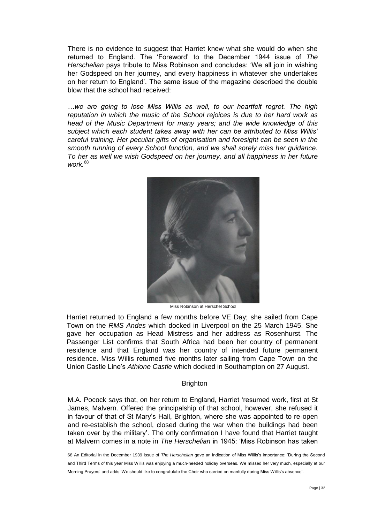There is no evidence to suggest that Harriet knew what she would do when she returned to England. The 'Foreword' to the December 1944 issue of *The Herschelian* pays tribute to Miss Robinson and concludes: 'We all join in wishing her Godspeed on her journey, and every happiness in whatever she undertakes on her return to England'. The same issue of the magazine described the double blow that the school had received:

*…we are going to lose Miss Willis as well, to our heartfelt regret. The high reputation in which the music of the School rejoices is due to her hard work as head of the Music Department for many years; and the wide knowledge of this subject which each student takes away with her can be attributed to Miss Willis' careful training. Her peculiar gifts of organisation and foresight can be seen in the smooth running of every School function, and we shall sorely miss her guidance. To her as well we wish Godspeed on her journey, and all happiness in her future work.*<sup>68</sup>



Miss Robinson at Herschel School

Harriet returned to England a few months before VE Day; she sailed from Cape Town on the *RMS Andes* which docked in Liverpool on the 25 March 1945. She gave her occupation as Head Mistress and her address as Rosenhurst. The Passenger List confirms that South Africa had been her country of permanent residence and that England was her country of intended future permanent residence. Miss Willis returned five months later sailing from Cape Town on the Union Castle Line's *Athlone Castle* which docked in Southampton on 27 August.

# **Brighton**

M.A. Pocock says that, on her return to England, Harriet 'resumed work, first at St James, Malvern. Offered the principalship of that school, however, she refused it in favour of that of St Mary's Hall, Brighton, where she was appointed to re-open and re-establish the school, closed during the war when the buildings had been taken over by the military'. The only confirmation I have found that Harriet taught at Malvern comes in a note in *The Herschelian* in 1945: 'Miss Robinson has taken

<sup>68</sup> An Editorial in the December 1939 issue of *The Herschelian* gave an indication of Miss Willis's importance: 'During the Second and Third Terms of this year Miss Willis was enjoying a much-needed holiday overseas. We missed her very much, especially at our Morning Prayers' and adds 'We should like to congratulate the Choir who carried on manfully during Miss Willis's absence'.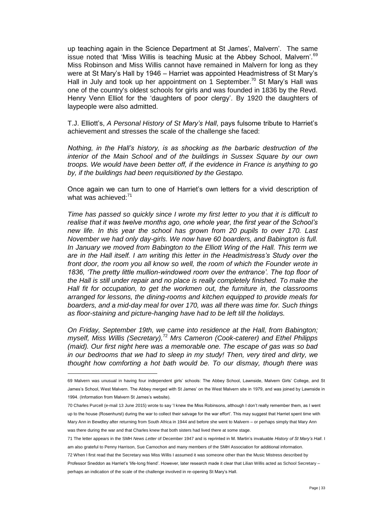up teaching again in the Science Department at St James', Malvern'. The same issue noted that 'Miss Willis is teaching Music at the Abbey School, Malvern'.<sup>69</sup> Miss Robinson and Miss Willis cannot have remained in Malvern for long as they were at St Mary's Hall by 1946 – Harriet was appointed Headmistress of St Mary's Hall in July and took up her appointment on 1 September.<sup>70</sup> St Mary's Hall was one of the country's oldest schools for girls and was founded in 1836 by the Revd. Henry Venn Elliot for the 'daughters of poor clergy'. By 1920 the daughters of laypeople were also admitted.

T.J. Elliott's, *A Personal History of St Mary's Hall*, pays fulsome tribute to Harriet's achievement and stresses the scale of the challenge she faced:

*Nothing, in the Hall's history, is as shocking as the barbaric destruction of the interior of the Main School and of the buildings in Sussex Square by our own troops. We would have been better off, if the evidence in France is anything to go by, if the buildings had been requisitioned by the Gestapo.*

Once again we can turn to one of Harriet's own letters for a vivid description of what was achieved: $71$ 

*Time has passed so quickly since I wrote my first letter to you that it is difficult to realise that it was twelve months ago, one whole year, the first year of the School's new life. In this year the school has grown from 20 pupils to over 170. Last November we had only day-girls. We now have 60 boarders, and Babington is full. In January we moved from Babington to the Elliott Wing of the Hall. This term we are in the Hall itself. I am writing this letter in the Headmistress's Study over the front door, the room you all know so well, the room of which the Founder wrote in 1836, 'The pretty little mullion-windowed room over the entrance'. The top floor of the Hall is still under repair and no place is really completely finished. To make the Hall fit for occupation, to get the workmen out, the furniture in, the classrooms arranged for lessons, the dining-rooms and kitchen equipped to provide meals for boarders, and a mid-day meal for over 170, was all there was time for. Such things as floor-staining and picture-hanging have had to be left till the holidays.*

*On Friday, September 19th, we came into residence at the Hall, from Babington; myself, Miss Willis (Secretary),*<sup>72</sup> *Mrs Cameron (Cook-caterer) and Ethel Philipps (maid). Our first night here was a memorable one. The escape of gas was so bad in our bedrooms that we had to sleep in my study! Then, very tired and dirty, we thought how comforting a hot bath would be. To our dismay, though there was* 

<sup>69</sup> Malvern was unusual in having four independent girls' schools: The Abbey School, Lawnside, Malvern Girls' College, and St James's School, West Malvern. The Abbey merged with St James' on the West Malvern site in 1979, and was joined by Lawnside in 1994. (Information from Malvern St James's website).

<sup>70</sup> Charles Purcell (e-mail 13 June 2015) wrote to say 'I knew the Miss Robinsons, although I don't really remember them, as I went up to the house (Rosenhurst) during the war to collect their salvage for the war effort'. This may suggest that Harriet spent time with Mary Ann in Bewdley after returning from South Africa in 1944 and before she went to Malvern – or perhaps simply that Mary Ann was there during the war and that Charles knew that both sisters had lived there at some stage.

<sup>71</sup> The letter appears in the SMH *News Letter* of December 1947 and is reprinted in M. Martin's invaluable *History of St Mary's Hall*. I am also grateful to Penny Harrison, Sue Carnochon and many members of the SMH Association for additional information.

<sup>72</sup> When I first read that the Secretary was Miss Willis I assumed it was someone other than the Music Mistress described by Professor Sneddon as Harriet's 'life-long friend'. However, later research made it clear that Lilian Willis acted as School Secretary – perhaps an indication of the scale of the challenge involved in re-opening St Mary's Hall.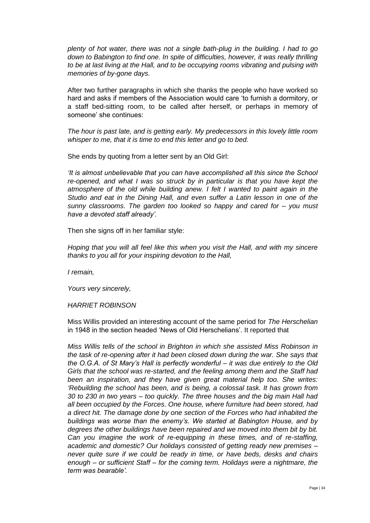*plenty of hot water, there was not a single bath-plug in the building. I had to go down to Babington to find one. In spite of difficulties, however, it was really thrilling to be at last living at the Hall, and to be occupying rooms vibrating and pulsing with memories of by-gone days.*

After two further paragraphs in which she thanks the people who have worked so hard and asks if members of the Association would care 'to furnish a dormitory, or a staff bed-sitting room, to be called after herself, or perhaps in memory of someone' she continues:

*The hour is past late, and is getting early. My predecessors in this lovely little room whisper to me, that it is time to end this letter and go to bed.*

She ends by quoting from a letter sent by an Old Girl:

*'It is almost unbelievable that you can have accomplished all this since the School re-opened, and what I was so struck by in particular is that you have kept the atmosphere of the old while building anew. I felt I wanted to paint again in the Studio and eat in the Dining Hall, and even suffer a Latin lesson in one of the sunny classrooms. The garden too looked so happy and cared for – you must have a devoted staff already'.*

Then she signs off in her familiar style:

*Hoping that you will all feel like this when you visit the Hall, and with my sincere thanks to you all for your inspiring devotion to the Hall,*

*I remain,*

*Yours very sincerely,*

*HARRIET ROBINSON*

Miss Willis provided an interesting account of the same period for *The Herschelian*  in 1948 in the section headed 'News of Old Herschelians'. It reported that

*Miss Willis tells of the school in Brighton in which she assisted Miss Robinson in the task of re-opening after it had been closed down during the war. She says that the O.G.A. of St Mary's Hall is perfectly wonderful – it was due entirely to the Old Girls that the school was re-started, and the feeling among them and the Staff had been an inspiration, and they have given great material help too. She writes: 'Rebuilding the school has been, and is being, a colossal task. It has grown from 30 to 230 in two years – too quickly. The three houses and the big main Hall had all been occupied by the Forces. One house, where furniture had been stored, had a direct hit. The damage done by one section of the Forces who had inhabited the buildings was worse than the enemy's. We started at Babington House, and by degrees the other buildings have been repaired and we moved into them bit by bit. Can you imagine the work of re-equipping in these times, and of re-staffing, academic and domestic? Our holidays consisted of getting ready new premises – never quite sure if we could be ready in time, or have beds, desks and chairs enough – or sufficient Staff – for the coming term. Holidays were a nightmare, the term was bearable'.*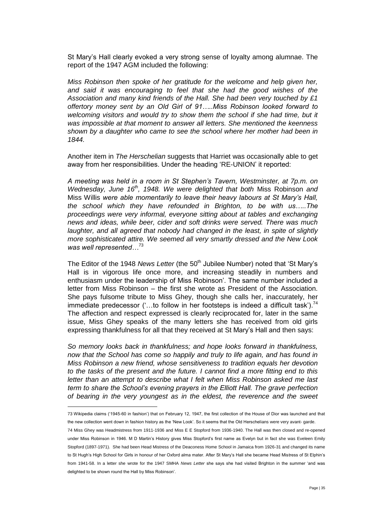St Mary's Hall clearly evoked a very strong sense of loyalty among alumnae. The report of the 1947 AGM included the following:

*Miss Robinson then spoke of her gratitude for the welcome and help given her, and said it was encouraging to feel that she had the good wishes of the Association and many kind friends of the Hall. She had been very touched by £1 offertory money sent by an Old Girl of 91…..Miss Robinson looked forward to welcoming visitors and would try to show them the school if she had time, but it was impossible at that moment to answer all letters. She mentioned the keenness shown by a daughter who came to see the school where her mother had been in 1844.*

Another item in *The Herschelian* suggests that Harriet was occasionally able to get away from her responsibilities. Under the heading 'RE-UNION' it reported:

*A meeting was held in a room in St Stephen's Tavern, Westminster, at 7p.m. on Wednesday, June 16th, 1948. We were delighted that both* Miss Robinson *and*  Miss Willis *were able momentarily to leave their heavy labours at St Mary's Hall, the school which they have refounded in Brighton, to be with us…..The proceedings were very informal, everyone sitting about at tables and exchanging news and ideas, while beer, cider and soft drinks were served. There was much laughter, and all agreed that nobody had changed in the least, in spite of slightly more sophisticated attire. We seemed all very smartly dressed and the New Look was well represented…*<sup>73</sup>

The Editor of the 1948 *News Letter* (the 50<sup>th</sup> Jubilee Number) noted that 'St Mary's Hall is in vigorous life once more, and increasing steadily in numbers and enthusiasm under the leadership of Miss Robinson'. The same number included a letter from Miss Robinson – the first she wrote as President of the Association. She pays fulsome tribute to Miss Ghey, though she calls her, inaccurately, her immediate predecessor ('...to follow in her footsteps is indeed a difficult task').<sup>74</sup> The affection and respect expressed is clearly reciprocated for, later in the same issue, Miss Ghey speaks of the many letters she has received from old girls expressing thankfulness for all that they received at St Mary's Hall and then says:

*So memory looks back in thankfulness; and hope looks forward in thankfulness, now that the School has come so happily and truly to life again, and has found in Miss Robinson a new friend, whose sensitiveness to tradition equals her devotion to the tasks of the present and the future. I cannot find a more fitting end to this letter than an attempt to describe what I felt when Miss Robinson asked me last term to share the School's evening prayers in the Elliott Hall. The grave perfection of bearing in the very youngest as in the eldest, the reverence and the sweet* 

<sup>73</sup> Wikipedia claims ('1945-60 in fashion') that on February 12, 1947, the first collection of the House of Dior was launched and that the new collection went down in fashion history as the 'New Look'. So it seems that the Old Herschelians were very avant- garde.

<sup>74</sup> Miss Ghey was Headmistress from 1911-1936 and Miss E E Stopford from 1936-1940. The Hall was then closed and re-opened under Miss Robinson in 1946. M D Martin's History gives Miss Stopford's first name as Evelyn but in fact she was Eveleen Emily Stopford (1897-1971). She had been Head Mistress of the Deaconess Home School in Jamaica from 1926-31 and changed its name to St Hugh's High School for Girls in honour of her Oxford alma mater. After St Mary's Hall she became Head Mistress of St Elphin's from 1941-58. In a letter she wrote for the 1947 SMHA *News Letter* she says she had visited Brighton in the summer 'and was delighted to be shown round the Hall by Miss Robinson'.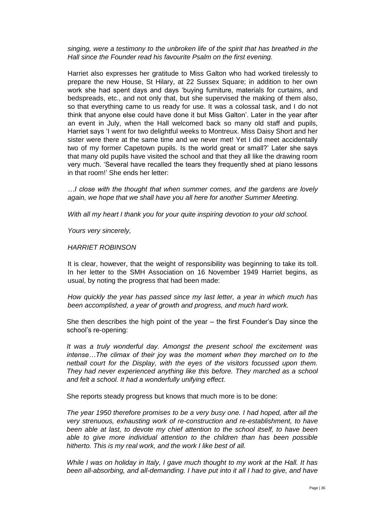*singing, were a testimony to the unbroken life of the spirit that has breathed in the Hall since the Founder read his favourite Psalm on the first evening.*

Harriet also expresses her gratitude to Miss Galton who had worked tirelessly to prepare the new House, St Hilary, at 22 Sussex Square; in addition to her own work she had spent days and days 'buying furniture, materials for curtains, and bedspreads, etc., and not only that, but she supervised the making of them also, so that everything came to us ready for use. It was a colossal task, and I do not think that anyone else could have done it but Miss Galton'. Later in the year after an event in July, when the Hall welcomed back so many old staff and pupils, Harriet says 'I went for two delightful weeks to Montreux. Miss Daisy Short and her sister were there at the same time and we never met! Yet I did meet accidentally two of my former Capetown pupils. Is the world great or small?' Later she says that many old pupils have visited the school and that they all like the drawing room very much. 'Several have recalled the tears they frequently shed at piano lessons in that room!' She ends her letter:

*…I close with the thought that when summer comes, and the gardens are lovely again, we hope that we shall have you all here for another Summer Meeting.*

*With all my heart I thank you for your quite inspiring devotion to your old school.*

*Yours very sincerely,*

*HARRIET ROBINSON*

It is clear, however, that the weight of responsibility was beginning to take its toll. In her letter to the SMH Association on 16 November 1949 Harriet begins, as usual, by noting the progress that had been made:

*How quickly the year has passed since my last letter, a year in which much has been accomplished, a year of growth and progress, and much hard work.*

She then describes the high point of the year – the first Founder's Day since the school's re-opening:

*It was a truly wonderful day. Amongst the present school the excitement was intense…The climax of their joy was the moment when they marched on to the netball court for the Display, with the eyes of the visitors focussed upon them. They had never experienced anything like this before. They marched as a school and felt a school. It had a wonderfully unifying effect.*

She reports steady progress but knows that much more is to be done:

*The year 1950 therefore promises to be a very busy one. I had hoped, after all the very strenuous, exhausting work of re-construction and re-establishment, to have been able at last, to devote my chief attention to the school itself, to have been able to give more individual attention to the children than has been possible hitherto. This is my real work, and the work I like best of all.*

*While I was on holiday in Italy, I gave much thought to my work at the Hall. It has been all-absorbing, and all-demanding. I have put into it all I had to give, and have*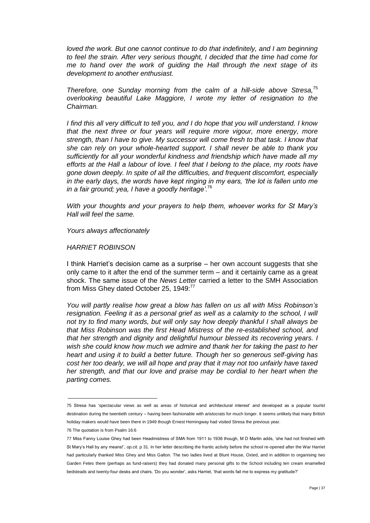*loved the work. But one cannot continue to do that indefinitely, and I am beginning to feel the strain. After very serious thought, I decided that the time had come for me to hand over the work of guiding the Hall through the next stage of its development to another enthusiast.*

*Therefore, one Sunday morning from the calm of a hill-side above Stresa,* 75 *overlooking beautiful Lake Maggiore, I wrote my letter of resignation to the Chairman.*

*I find this all very difficult to tell you, and I do hope that you will understand. I know that the next three or four years will require more vigour, more energy, more strength, than I have to give. My successor will come fresh to that task. I know that she can rely on your whole-hearted support. I shall never be able to thank you sufficiently for all your wonderful kindness and friendship which have made all my efforts at the Hall a labour of love. I feel that I belong to the place, my roots have gone down deeply. In spite of all the difficulties, and frequent discomfort, especially in the early days, the words have kept ringing in my ears, 'the lot is fallen unto me in a fair ground; yea, I have a goodly heritage'*. 76

*With your thoughts and your prayers to help them, whoever works for St Mary's Hall will feel the same.*

*Yours always affectionately*

#### *HARRIET ROBINSON*

I think Harriet's decision came as a surprise – her own account suggests that she only came to it after the end of the summer term – and it certainly came as a great shock. The same issue of the *News Letter* carried a letter to the SMH Association from Miss Ghey dated October 25, 1949:<sup>77</sup>

*You will partly realise how great a blow has fallen on us all with Miss Robinson's resignation. Feeling it as a personal grief as well as a calamity to the school, I will not try to find many words, but will only say how deeply thankful I shall always be that Miss Robinson was the first Head Mistress of the re-established school, and that her strength and dignity and delightful humour blessed its recovering years. I wish she could know how much we admire and thank her for taking the past to her heart and using it to build a better future. Though her so generous self-giving has cost her too dearly, we will all hope and pray that it may not too unfairly have taxed her strength, and that our love and praise may be cordial to her heart when the parting comes.*

<sup>75</sup> Stresa has 'spectacular views as well as areas of historical and architectural interest' and developed as a popular tourist destination during the twentieth century – having been fashionable with aristocrats for much longer. It seems unlikely that many British holiday makers would have been there in 1949 though Ernest Hemingway had visited Stresa the previous year.

<sup>76</sup> The quotation is from Psalm 16:6

<sup>77</sup> Miss Fanny Louise Ghey had been Headmistress of SMA from 1911 to 1936 though, M D Martin adds, 'she had not finished with St Mary's Hall by any means!', *op.cit.* p 31. In her letter describing the frantic activity before the school re-opened after the War Harriet had particularly thanked Miss Ghey and Miss Galton. The two ladies lived at Blunt House, Oxted, and in addition to organising two Garden Fetes there (perhaps as fund-raisers) they had donated many personal gifts to the School including ten cream enamelled bedsteads and twenty-four desks and chairs. 'Do you wonder', asks Harriet, 'that words fail me to express my gratitude?'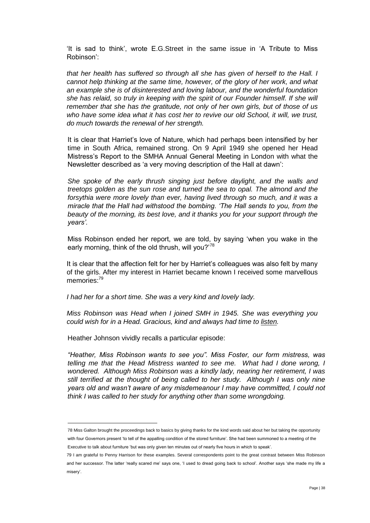'It is sad to think', wrote E.G.Street in the same issue in 'A Tribute to Miss Robinson':

*that her health has suffered so through all she has given of herself to the Hall. I cannot help thinking at the same time, however, of the glory of her work, and what an example she is of disinterested and loving labour, and the wonderful foundation she has relaid, so truly in keeping with the spirit of our Founder himself. If she will remember that she has the gratitude, not only of her own girls, but of those of us*  who have some idea what it has cost her to revive our old School, it will, we trust, *do much towards the renewal of her strength.*

It is clear that Harriet's love of Nature, which had perhaps been intensified by her time in South Africa, remained strong. On 9 April 1949 she opened her Head Mistress's Report to the SMHA Annual General Meeting in London with what the Newsletter described as 'a very moving description of the Hall at dawn':

*She spoke of the early thrush singing just before daylight, and the walls and treetops golden as the sun rose and turned the sea to opal. The almond and the forsythia were more lovely than ever, having lived through so much, and it was a miracle that the Hall had withstood the bombing. 'The Hall sends to you, from the beauty of the morning, its best love, and it thanks you for your support through the years'.*

Miss Robinson ended her report, we are told, by saying 'when you wake in the early morning, think of the old thrush, will you?<sup>78</sup>

It is clear that the affection felt for her by Harriet's colleagues was also felt by many of the girls. After my interest in Harriet became known I received some marvellous memories:<sup>79</sup>

*I had her for a short time. She was a very kind and lovely lady.*

*Miss Robinson was Head when I joined SMH in 1945. She was everything you could wish for in a Head. Gracious, kind and always had time to listen.*

Heather Johnson vividly recalls a particular episode:

 $\overline{a}$ 

*"Heather, Miss Robinson wants to see you". Miss Foster, our form mistress, was telling me that the Head Mistress wanted to see me. What had I done wrong, I wondered. Although Miss Robinson was a kindly lady, nearing her retirement, I was still terrified at the thought of being called to her study. Although I was only nine years old and wasn't aware of any misdemeanour I may have committed, I could not think I was called to her study for anything other than some wrongdoing.*

78 Miss Galton brought the proceedings back to basics by giving thanks for the kind words said about her but taking the opportunity with four Governors present 'to tell of the appalling condition of the stored furniture'. She had been summoned to a meeting of the

Executive to talk about furniture 'but was only given ten minutes out of nearly five hours in which to speak'.

<sup>79</sup> I am grateful to Penny Harrison for these examples. Several correspondents point to the great contrast between Miss Robinson and her successor. The latter 'really scared me' says one, 'I used to dread going back to school'. Another says 'she made my life a misery'.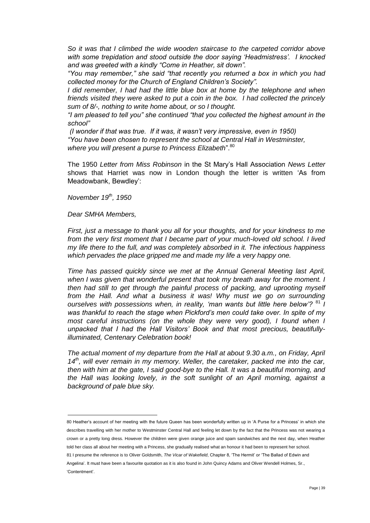*So it was that I climbed the wide wooden staircase to the carpeted corridor above with some trepidation and stood outside the door saying 'Headmistress'. I knocked and was greeted with a kindly "Come in Heather, sit down".*

*"You may remember," she said "that recently you returned a box in which you had collected money for the Church of England Children's Society".*

*I* did remember, *I had had the little blue box at home by the telephone and when friends visited they were asked to put a coin in the box. I had collected the princely sum of 8/-, nothing to write home about, or so I thought.*

*"I am pleased to tell you" she continued "that you collected the highest amount in the school"* 

*(I wonder if that was true. If it was, it wasn't very impressive, even in 1950) "You have been chosen to represent the school at Central Hall in Westminster,*  where you will present a purse to Princess Elizabeth".<sup>80</sup>

The 1950 *Letter from Miss Robinson* in the St Mary's Hall Association *News Letter*  shows that Harriet was now in London though the letter is written 'As from Meadowbank, Bewdley':

*November 19th, 1950*

*Dear SMHA Members,*

 $\overline{a}$ 

*First, just a message to thank you all for your thoughts, and for your kindness to me from the very first moment that I became part of your much-loved old school. I lived my life there to the full, and was completely absorbed in it. The infectious happiness which pervades the place gripped me and made my life a very happy one.* 

*Time has passed quickly since we met at the Annual General Meeting last April, when I was given that wonderful present that took my breath away for the moment. I then had still to get through the painful process of packing, and uprooting myself from the Hall. And what a business it was! Why must we go on surrounding ourselves with possessions when, in reality, 'man wants but little here below'?* <sup>81</sup> *I was thankful to reach the stage when Pickford's men could take over. In spite of my most careful instructions (on the whole they were very good), I found when I unpacked that I had the Hall Visitors' Book and that most precious, beautifullyilluminated, Centenary Celebration book!*

*The actual moment of my departure from the Hall at about 9.30 a.m., on Friday, April 14th, will ever remain in my memory. Weller, the caretaker, packed me into the car, then with him at the gate, I said good-bye to the Hall. It was a beautiful morning, and the Hall was looking lovely, in the soft sunlight of an April morning, against a background of pale blue sky.*

80 Heather's account of her meeting with the future Queen has been wonderfully written up in 'A Purse for a Princess' in which she describes travelling with her mother to Westminster Central Hall and feeling let down by the fact that the Princess was not wearing a crown or a pretty long dress. However the children were given orange juice and spam sandwiches and the next day, when Heather told her class all about her meeting with a Princess, she gradually realised what an honour it had been to represent her school. 81 I presume the reference is to Oliver Goldsmith, *The Vicar of Wakefield*, Chapter 8, 'The Hermit' or 'The Ballad of Edwin and Angelina'. It must have been a favourite quotation as it is also found in John Quincy Adams and Oliver Wendell Holmes, Sr., 'Contentment'.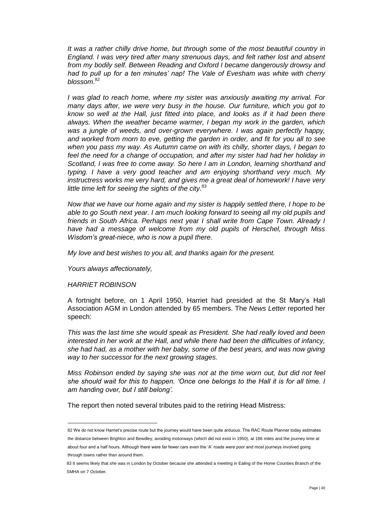*It was a rather chilly drive home, but through some of the most beautiful country in England. I was very tired after many strenuous days, and felt rather lost and absent from my bodily self. Between Reading and Oxford I became dangerously drowsy and had to pull up for a ten minutes' nap! The Vale of Evesham was white with cherry blossom.*<sup>82</sup>

*I was glad to reach home, where my sister was anxiously awaiting my arrival. For many days after, we were very busy in the house. Our furniture, which you got to know so well at the Hall, just fitted into place, and looks as if it had been there always. When the weather became warmer, I began my work in the garden, which was a jungle of weeds, and over-grown everywhere. I was again perfectly happy, and worked from morn to eve, getting the garden in order, and fit for you all to see when you pass my way. As Autumn came on with its chilly, shorter days, I began to feel the need for a change of occupation, and after my sister had had her holiday in Scotland, I was free to come away. So here I am in London, learning shorthand and typing. I have a very good teacher and am enjoying shorthand very much. My instructress works me very hard, and gives me a great deal of homework! I have very little time left for seeing the sights of the city.* 83

*Now that we have our home again and my sister is happily settled there, I hope to be able to go South next year. I am much looking forward to seeing all my old pupils and friends in South Africa. Perhaps next year I shall write from Cape Town. Already I have had a message of welcome from my old pupils of Herschel, through Miss Wisdom's great-niece, who is now a pupil there.*

*My love and best wishes to you all, and thanks again for the present.*

*Yours always affectionately,*

### *HARRIET ROBINSON*

 $\overline{a}$ 

A fortnight before, on 1 April 1950, Harriet had presided at the St Mary's Hall Association AGM in London attended by 65 members. The *News Letter* reported her speech:

*This was the last time she would speak as President. She had really loved and been interested in her work at the Hall, and while there had been the difficulties of infancy, she had had, as a mother with her baby, some of the best years, and was now giving way to her successor for the next growing stages.*

*Miss Robinson ended by saying she was not at the time worn out, but did not feel she should wait for this to happen. 'Once one belongs to the Hall it is for all time. I am handing over, but I still belong'.*

The report then noted several tributes paid to the retiring Head Mistress:

<sup>82</sup> We do not know Harriet's precise route but the journey would have been quite arduous. The RAC Route Planner today estimates the distance between Brighton and Bewdley, avoiding motorways (which did not exist in 1950), at 186 miles and the journey time at about four and a half hours. Although there were far fewer cars even the 'A' roads were poor and most journeys involved going through towns rather than around them.

<sup>83</sup> It seems likely that she was in London by October because she attended a meeting in Ealing of the Home Counties Branch of the SMHA on 7 October.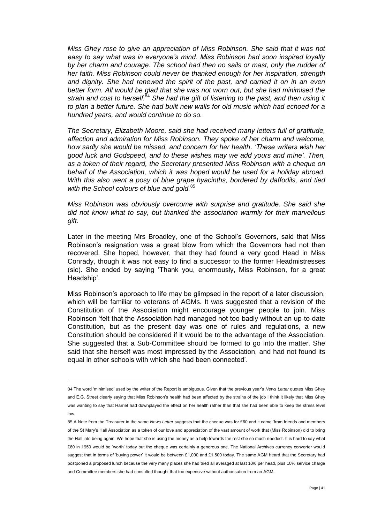*Miss Ghey rose to give an appreciation of Miss Robinson. She said that it was not easy to say what was in everyone's mind. Miss Robinson had soon inspired loyalty by her charm and courage. The school had then no sails or mast, only the rudder of her faith. Miss Robinson could never be thanked enough for her inspiration, strength and dignity. She had renewed the spirit of the past, and carried it on in an even better form. All would be glad that she was not worn out, but she had minimised the strain and cost to herself.*<sup>84</sup> *She had the gift of listening to the past, and then using it to plan a better future. She had built new walls for old music which had echoed for a hundred years, and would continue to do so.*

*The Secretary, Elizabeth Moore, said she had received many letters full of gratitude, affection and admiration for Miss Robinson. They spoke of her charm and welcome, how sadly she would be missed, and concern for her health. 'These writers wish her good luck and Godspeed, and to these wishes may we add yours and mine'. Then, as a token of their regard, the Secretary presented Miss Robinson with a cheque on behalf of the Association, which it was hoped would be used for a holiday abroad. With this also went a posy of blue grape hyacinths, bordered by daffodils, and tied with the School colours of blue and gold.*<sup>85</sup>

*Miss Robinson was obviously overcome with surprise and gratitude. She said she did not know what to say, but thanked the association warmly for their marvellous gift.*

Later in the meeting Mrs Broadley, one of the School's Governors, said that Miss Robinson's resignation was a great blow from which the Governors had not then recovered. She hoped, however, that they had found a very good Head in Miss Conrady, though it was not easy to find a successor to the former Headmistresses (sic). She ended by saying 'Thank you, enormously, Miss Robinson, for a great Headship'.

Miss Robinson's approach to life may be glimpsed in the report of a later discussion, which will be familiar to veterans of AGMs. It was suggested that a revision of the Constitution of the Association might encourage younger people to join. Miss Robinson 'felt that the Association had managed not too badly without an up-to-date Constitution, but as the present day was one of rules and regulations, a new Constitution should be considered if it would be to the advantage of the Association. She suggested that a Sub-Committee should be formed to go into the matter. She said that she herself was most impressed by the Association, and had not found its equal in other schools with which she had been connected'.

<sup>84</sup> The word 'minimised' used by the writer of the Report is ambiguous. Given that the previous year's *News Letter* quotes Miss Ghey and E.G. Street clearly saying that Miss Robinson's health had been affected by the strains of the job I think it likely that Miss Ghey was wanting to say that Harriet had downplayed the effect on her health rather than that she had been able to keep the stress level low.

<sup>85</sup> A Note from the Treasurer in the same *News Letter* suggests that the cheque was for £60 and it came 'from friends and members of the St Mary's Hall Association as a token of our love and appreciation of the vast amount of work that (Miss Robinson) did to bring the Hall into being again. We hope that she is using the money as a help towards the rest she so much needed'. It is hard to say what £60 in 1950 would be 'worth' today but the cheque was certainly a generous one. The National Archives currency converter would suggest that in terms of 'buying power' it would be between £1,000 and £1,500 today. The same AGM heard that the Secretary had postponed a proposed lunch because the very many places she had tried all averaged at last 10/6 per head, plus 10% service charge and Committee members she had consulted thought that too expensive without authorisation from an AGM.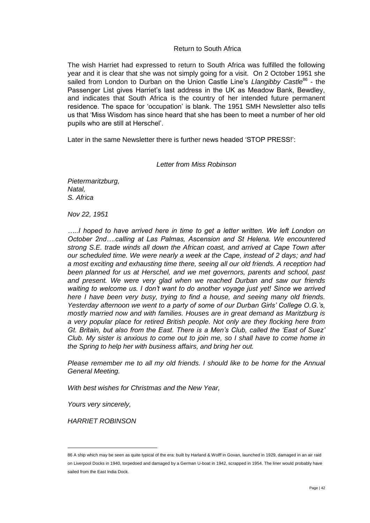# Return to South Africa

The wish Harriet had expressed to return to South Africa was fulfilled the following year and it is clear that she was not simply going for a visit. On 2 October 1951 she sailed from London to Durban on the Union Castle Line's *Llangibby Castle*<sup>86</sup> - the Passenger List gives Harriet's last address in the UK as Meadow Bank, Bewdley, and indicates that South Africa is the country of her intended future permanent residence. The space for 'occupation' is blank. The 1951 SMH Newsletter also tells us that 'Miss Wisdom has since heard that she has been to meet a number of her old pupils who are still at Herschel'.

Later in the same Newsletter there is further news headed 'STOP PRESS!':

# *Letter from Miss Robinson*

*Pietermaritzburg, Natal, S. Africa*

*Nov 22, 1951*

.....I hoped to have arrived here in time to get a letter written. We left London on *October 2nd….calling at Las Palmas, Ascension and St Helena. We encountered strong S.E. trade winds all down the African coast, and arrived at Cape Town after our scheduled time. We were nearly a week at the Cape, instead of 2 days; and had a most exciting and exhausting time there, seeing all our old friends. A reception had been planned for us at Herschel, and we met governors, parents and school, past and present. We were very glad when we reached Durban and saw our friends waiting to welcome us. I don't want to do another voyage just yet! Since we arrived here I have been very busy, trying to find a house, and seeing many old friends. Yesterday afternoon we went to a party of some of our Durban Girls' College O.G.'s, mostly married now and with families. Houses are in great demand as Maritzburg is a very popular place for retired British people. Not only are they flocking here from Gt. Britain, but also from the East. There is a Men's Club, called the 'East of Suez' Club. My sister is anxious to come out to join me, so I shall have to come home in the Spring to help her with business affairs, and bring her out.*

*Please remember me to all my old friends. I should like to be home for the Annual General Meeting.*

*With best wishes for Christmas and the New Year,*

*Yours very sincerely,*

*HARRIET ROBINSON*

<sup>86</sup> A ship which may be seen as quite typical of the era: built by Harland & Wolff in Govan, launched in 1929, damaged in an air raid on Liverpool Docks in 1940, torpedoed and damaged by a German U-boat in 1942, scrapped in 1954. The liner would probably have sailed from the East India Dock.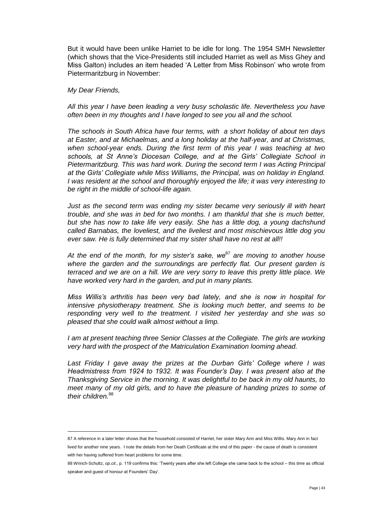But it would have been unlike Harriet to be idle for long. The 1954 SMH Newsletter (which shows that the Vice-Presidents still included Harriet as well as Miss Ghey and Miss Galton) includes an item headed 'A Letter from Miss Robinson' who wrote from Pietermaritzburg in November:

# *My Dear Friends,*

 $\overline{a}$ 

*All this year I have been leading a very busy scholastic life. Nevertheless you have often been in my thoughts and I have longed to see you all and the school.*

*The schools in South Africa have four terms, with a short holiday of about ten days at Easter, and at Michaelmas, and a long holiday at the half-year, and at Christmas, when school-year ends. During the first term of this year I was teaching at two schools, at St Anne's Diocesan College, and at the Girls' Collegiate School in Pietermaritzburg. This was hard work. During the second term I was Acting Principal at the Girls' Collegiate while Miss Williams, the Principal, was on holiday in England. I was resident at the school and thoroughly enjoyed the life; it was very interesting to be right in the middle of school-life again.*

*Just as the second term was ending my sister became very seriously ill with heart trouble, and she was in bed for two months. I am thankful that she is much better, but she has now to take life very easily. She has a little dog, a young dachshund called Barnabas, the loveliest, and the liveliest and most mischievous little dog you ever saw. He is fully determined that my sister shall have no rest at all!!*

*At the end of the month, for my sister's sake, we*<sup>87</sup> *are moving to another house where the garden and the surroundings are perfectly flat. Our present garden is terraced and we are on a hill. We are very sorry to leave this pretty little place. We have worked very hard in the garden, and put in many plants.*

*Miss Willis's arthritis has been very bad lately, and she is now in hospital for intensive physiotherapy treatment. She is looking much better, and seems to be responding very well to the treatment. I visited her yesterday and she was so pleased that she could walk almost without a limp.*

*I am at present teaching three Senior Classes at the Collegiate. The girls are working very hard with the prospect of the Matriculation Examination looming ahead.*

*Last Friday I gave away the prizes at the Durban Girls' College where I was Headmistress from 1924 to 1932. It was Founder's Day. I was present also at the Thanksgiving Service in the morning. It was delightful to be back in my old haunts, to meet many of my old girls, and to have the pleasure of handing prizes to some of their children.*<sup>88</sup>

<sup>87</sup> A reference in a later letter shows that the household consisted of Harriet, her sister Mary Ann and Miss Willis. Mary Ann in fact lived for another nine years. I note the details from her Death Certificate at the end of this paper - the cause of death is consistent with her having suffered from heart problems for some time.

<sup>88</sup> Wrinch-Schultz, *op.cit*., p. 119 confirms this: 'Twenty years after she left College she came back to the school – this time as official speaker and guest of honour at Founders' Day'.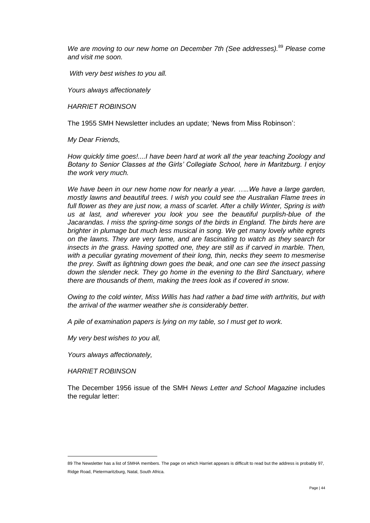*We are moving to our new home on December 7th (See addresses).*<sup>89</sup> *Please come and visit me soon.*

*With very best wishes to you all.*

*Yours always affectionately*

*HARRIET ROBINSON*

The 1955 SMH Newsletter includes an update; 'News from Miss Robinson':

*My Dear Friends,*

*How quickly time goes!....I have been hard at work all the year teaching Zoology and Botany to Senior Classes at the Girls' Collegiate School, here in Maritzburg. I enjoy the work very much.*

*We have been in our new home now for nearly a year. …..We have a large garden, mostly lawns and beautiful trees. I wish you could see the Australian Flame trees in*  full flower as they are just now, a mass of scarlet. After a chilly Winter, Spring is with *us at last, and wherever you look you see the beautiful purplish-blue of the Jacarandas. I miss the spring-time songs of the birds in England. The birds here are brighter in plumage but much less musical in song. We get many lovely white egrets on the lawns. They are very tame, and are fascinating to watch as they search for insects in the grass. Having spotted one, they are still as if carved in marble. Then, with a peculiar gyrating movement of their long, thin, necks they seem to mesmerise the prey. Swift as lightning down goes the beak, and one can see the insect passing*  down the slender neck. They go home in the evening to the Bird Sanctuary, where *there are thousands of them, making the trees look as if covered in snow.*

*Owing to the cold winter, Miss Willis has had rather a bad time with arthritis, but with the arrival of the warmer weather she is considerably better.*

*A pile of examination papers is lying on my table, so I must get to work.*

*My very best wishes to you all,*

*Yours always affectionately,*

*HARRIET ROBINSON*

 $\overline{a}$ 

The December 1956 issue of the SMH *News Letter and School Magazine* includes the regular letter:

<sup>89</sup> The Newsletter has a list of SMHA members. The page on which Harriet appears is difficult to read but the address is probably 97, Ridge Road, Pietermaritzburg, Natal, South Africa.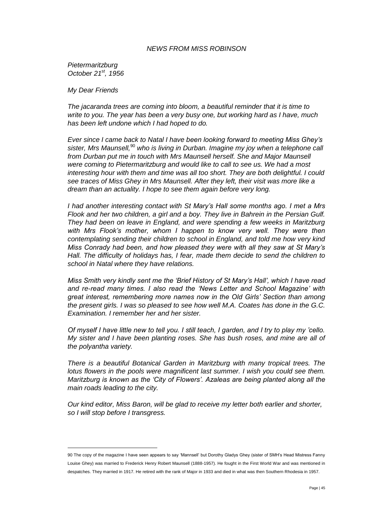# *NEWS FROM MISS ROBINSON*

*Pietermaritzburg October 21st, 1956*

*My Dear Friends*

 $\overline{a}$ 

*The jacaranda trees are coming into bloom, a beautiful reminder that it is time to write to you. The year has been a very busy one, but working hard as I have, much has been left undone which I had hoped to do.* 

*Ever since I came back to Natal I have been looking forward to meeting Miss Ghey's*  sister, Mrs Maunsell,<sup>90</sup> who is living in Durban. Imagine my joy when a telephone call *from Durban put me in touch with Mrs Maunsell herself. She and Major Maunsell were coming to Pietermaritzburg and would like to call to see us. We had a most interesting hour with them and time was all too short. They are both delightful. I could see traces of Miss Ghey in Mrs Maunsell. After they left, their visit was more like a dream than an actuality. I hope to see them again before very long.*

*I had another interesting contact with St Mary's Hall some months ago. I met a Mrs Flook and her two children, a girl and a boy. They live in Bahrein in the Persian Gulf. They had been on leave in England, and were spending a few weeks in Maritzburg with Mrs Flook's mother, whom I happen to know very well. They were then contemplating sending their children to school in England, and told me how very kind Miss Conrady had been, and how pleased they were with all they saw at St Mary's Hall. The difficulty of holidays has, I fear, made them decide to send the children to school in Natal where they have relations.*

*Miss Smith very kindly sent me the 'Brief History of St Mary's Hall', which I have read and re-read many times. I also read the 'News Letter and School Magazine' with great interest, remembering more names now in the Old Girls' Section than among the present girls. I was so pleased to see how well M.A. Coates has done in the G.C. Examination. I remember her and her sister.*

*Of myself I have little new to tell you. I still teach, I garden, and I try to play my 'cello. My sister and I have been planting roses. She has bush roses, and mine are all of the polyantha variety.*

*There is a beautiful Botanical Garden in Maritzburg with many tropical trees. The lotus flowers in the pools were magnificent last summer. I wish you could see them. Maritzburg is known as the 'City of Flowers'. Azaleas are being planted along all the main roads leading to the city.*

*Our kind editor, Miss Baron, will be glad to receive my letter both earlier and shorter, so I will stop before I transgress.*

<sup>90</sup> The copy of the magazine I have seen appears to say 'Mannsell' but Dorothy Gladys Ghey (sister of SMH's Head Mistress Fanny Louise Ghey) was married to Frederick Henry Robert Maunsell (1888-1957). He fought in the First World War and was mentioned in despatches. They married in 1917. He retired with the rank of Major in 1933 and died in what was then Southern Rhodesia in 1957.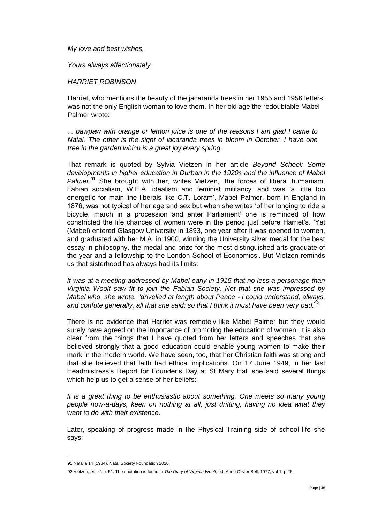*My love and best wishes,*

*Yours always affectionately,*

# *HARRIET ROBINSON*

Harriet, who mentions the beauty of the jacaranda trees in her 1955 and 1956 letters, was not the only English woman to love them. In her old age the redoubtable Mabel Palmer wrote:

*... pawpaw with orange or lemon juice is one of the reasons I am glad I came to Natal. The other is the sight of jacaranda trees in bloom in October. I have one tree in the garden which is a great joy every spring.*

That remark is quoted by Sylvia Vietzen in her article *Beyond School: Some developments in higher education in Durban in the 1920s and the influence of Mabel*  Palmer.<sup>91</sup> She brought with her, writes Vietzen, 'the forces of liberal humanism, Fabian socialism, W.E.A. idealism and feminist militancy' and was 'a little too energetic for main-line liberals like C.T. Loram'. Mabel Palmer, born in England in 1876, was not typical of her age and sex but when she writes 'of her longing to ride a bicycle, march in a procession and enter Parliament' one is reminded of how constricted the life chances of women were in the period just before Harriet's. 'Yet (Mabel) entered Glasgow University in 1893, one year after it was opened to women, and graduated with her M.A. in 1900, winning the University silver medal for the best essay in philosophy, the medal and prize for the most distinguished arts graduate of the year and a fellowship to the London School of Economics'. But Vietzen reminds us that sisterhood has always had its limits:

*It was at a meeting addressed by Mabel early in 1915 that no less a personage than Virginia Woolf saw fit to join the Fabian Society. Not that she was impressed by Mabel who, she wrote, "drivelled at length about Peace - I could understand, always,*  and confute generally, all that she said; so that I think it must have been very bad.<sup>92</sup>

There is no evidence that Harriet was remotely like Mabel Palmer but they would surely have agreed on the importance of promoting the education of women. It is also clear from the things that I have quoted from her letters and speeches that she believed strongly that a good education could enable young women to make their mark in the modern world. We have seen, too, that her Christian faith was strong and that she believed that faith had ethical implications. On 17 June 1949, in her last Headmistress's Report for Founder's Day at St Mary Hall she said several things which help us to get a sense of her beliefs:

*It is a great thing to be enthusiastic about something. One meets so many young people now-a-days, keen on nothing at all, just drifting, having no idea what they want to do with their existence.*

Later, speaking of progress made in the Physical Training side of school life she says:

<sup>91</sup> Natalia 14 (1984), Natal Society Foundation 2010.

<sup>92</sup> Vietzen, *op.cit*. p. 51. The quotation is found in *The Diary of Virginia Woolf*, ed. Anne Olivier Bell, 1977, vol 1, p.26.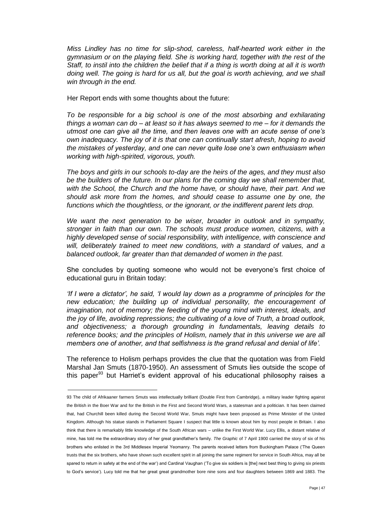*Miss Lindley has no time for slip-shod, careless, half-hearted work either in the gymnasium or on the playing field. She is working hard, together with the rest of the Staff, to instil into the children the belief that if a thing is worth doing at all it is worth doing well. The going is hard for us all, but the goal is worth achieving, and we shall win through in the end.*

Her Report ends with some thoughts about the future:

*To be responsible for a big school is one of the most absorbing and exhilarating things a woman can do – at least so it has always seemed to me – for it demands the utmost one can give all the time, and then leaves one with an acute sense of one's own inadequacy. The joy of it is that one can continually start afresh, hoping to avoid the mistakes of yesterday, and one can never quite lose one's own enthusiasm when working with high-spirited, vigorous, youth.*

*The boys and girls in our schools to-day are the heirs of the ages, and they must also be the builders of the future. In our plans for the coming day we shall remember that, with the School, the Church and the home have, or should have, their part. And we should ask more from the homes, and should cease to assume one by one, the functions which the thoughtless, or the ignorant, or the indifferent parent lets drop.*

*We want the next generation to be wiser, broader in outlook and in sympathy, stronger in faith than our own. The schools must produce women, citizens, with a highly developed sense of social responsibility, with intelligence, with conscience and will, deliberately trained to meet new conditions, with a standard of values, and a balanced outlook, far greater than that demanded of women in the past.*

She concludes by quoting someone who would not be everyone's first choice of educational guru in Britain today:

*'If I were a dictator', he said, 'I would lay down as a programme of principles for the new education; the building up of individual personality, the encouragement of imagination, not of memory; the feeding of the young mind with interest, ideals, and the joy of life, avoiding repressions; the cultivating of a love of Truth, a broad outlook, and objectiveness; a thorough grounding in fundamentals, leaving details to reference books; and the principles of Holism, namely that in this universe we are all members one of another, and that selfishness is the grand refusal and denial of life'.*

The reference to Holism perhaps provides the clue that the quotation was from Field Marshal Jan Smuts (1870-1950). An assessment of Smuts lies outside the scope of this paper $93$  but Harriet's evident approval of his educational philosophy raises a

<sup>93</sup> The child of Afrikaaner farmers Smuts was intellectually brilliant (Double First from Cambridge), a military leader fighting against the British in the Boer War and for the British in the First and Second World Wars, a statesman and a politician. It has been claimed that, had Churchill been killed during the Second World War, Smuts might have been proposed as Prime Minister of the United Kingdom. Although his statue stands in Parliament Square I suspect that little is known about him by most people in Britain. I also think that there is remarkably little knowledge of the South African wars – unlike the First World War. Lucy Ellis, a distant relative of mine, has told me the extraordinary story of her great grandfather's family. *The Graphic* of 7 April 1900 carried the story of six of his brothers who enlisted in the 3rd Middlesex Imperial Yeomanry. The parents received letters from Buckingham Palace ('The Queen trusts that the six brothers, who have shown such excellent spirit in all joining the same regiment for service in South Africa, may all be spared to return in safety at the end of the war') and Cardinal Vaughan ('To give six soldiers is [the] next best thing to giving six priests to God's service'). Lucy told me that her great great grandmother bore nine sons and four daughters between 1869 and 1883. The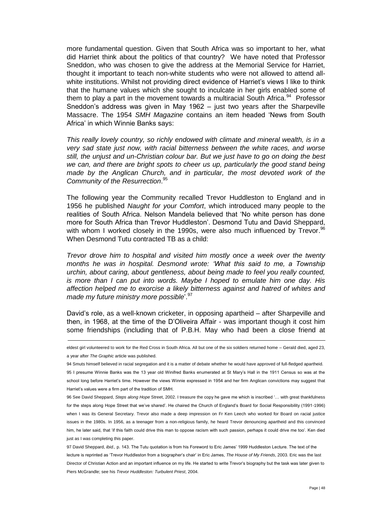more fundamental question. Given that South Africa was so important to her, what did Harriet think about the politics of that country? We have noted that Professor Sneddon, who was chosen to give the address at the Memorial Service for Harriet, thought it important to teach non-white students who were not allowed to attend allwhite institutions. Whilst not providing direct evidence of Harriet's views I like to think that the humane values which she sought to inculcate in her girls enabled some of them to play a part in the movement towards a multiracial South Africa.<sup>94</sup> Professor Sneddon's address was given in May 1962 – just two years after the Sharpeville Massacre. The 1954 *SMH Magazine* contains an item headed 'News from South Africa' in which Winnie Banks says:

*This really lovely country, so richly endowed with climate and mineral wealth, is in a very sad state just now, with racial bitterness between the white races, and worse still, the unjust and un-Christian colour bar. But we just have to go on doing the best we can, and there are bright spots to cheer us up, particularly the good stand being made by the Anglican Church, and in particular, the most devoted work of the Community of the Resurrection*. 95

The following year the Community recalled Trevor Huddleston to England and in 1956 he published *Naught for your Comfort*, which introduced many people to the realities of South Africa. Nelson Mandela believed that 'No white person has done more for South Africa than Trevor Huddleston'. Desmond Tutu and David Sheppard, with whom I worked closely in the 1990s, were also much influenced by Trevor.<sup>96</sup> When Desmond Tutu contracted TB as a child:

*Trevor drove him to hospital and visited him mostly once a week over the twenty months he was in hospital. Desmond wrote: 'What this said to me, a Township urchin, about caring, about gentleness, about being made to feel you really counted, is more than I can put into words. Maybe I hoped to emulate him one day. His affection helped me to exorcise a likely bitterness against and hatred of whites and made my future ministry more possible*'.<sup>97</sup>

David's role, as a well-known cricketer, in opposing apartheid – after Sharpeville and then, in 1968, at the time of the D'Oliveira Affair - was important though it cost him some friendships (including that of P.B.H. May who had been a close friend at

eldest girl volunteered to work for the Red Cross in South Africa. All but one of the six soldiers returned home – Gerald died, aged 23, a year after *The Graphic* article was published.

 $\overline{a}$ 

94 Smuts himself believed in racial segregation and it is a matter of debate whether he would have approved of full-fledged apartheid. 95 I presume Winnie Banks was the 13 year old Winifred Banks enumerated at St Mary's Hall in the 1911 Census so was at the school long before Harriet's time. However the views Winnie expressed in 1954 and her firm Anglican convictions may suggest that Harriet's values were a firm part of the tradition of SMH.

96 See David Sheppard, *Steps along Hope* Street, 2002. I treasure the copy he gave me which is inscribed '… with great thankfulness for the steps along Hope Street that we've shared'. He chaired the Church of England's Board for Social Responsibility (1991-1996) when I was its General Secretary. Trevor also made a deep impression on Fr Ken Leech who worked for Board on racial justice issues in the 1980s. In 1956, as a teenager from a non-religious family, he heard Trevor denouncing apartheid and this convinced him, he later said, that 'if this faith could drive this man to oppose racism with such passion, perhaps it could drive me too'. Ken died just as I was completing this paper.

97 David Sheppard, *ibid.,* p. 143. The Tutu quotation is from his Foreword to Eric James' 1999 Huddleston Lecture. The text of the lecture is reprinted as 'Trevor Huddleston from a biographer's chair' in Eric James, *The House of My Friends*, 2003. Eric was the last Director of Christian Action and an important influence on my life. He started to write Trevor's biography but the task was later given to Piers McGrandle; see his *Trevor Huddleston: Turbulent Priest*, 2004.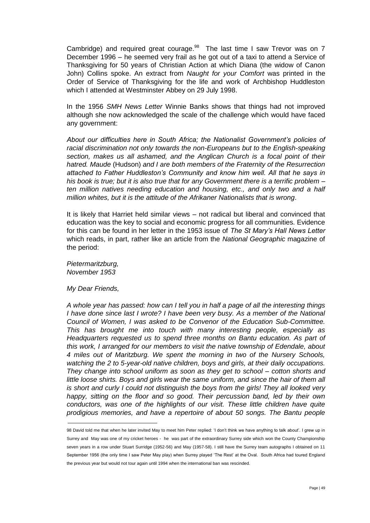Cambridge) and required great courage. $98$  The last time I saw Trevor was on 7 December 1996 – he seemed very frail as he got out of a taxi to attend a Service of Thanksgiving for 50 years of Christian Action at which Diana (the widow of Canon John) Collins spoke. An extract from *Naught for your Comfort* was printed in the Order of Service of Thanksgiving for the life and work of Archbishop Huddleston which I attended at Westminster Abbey on 29 July 1998.

In the 1956 *SMH News Letter* Winnie Banks shows that things had not improved although she now acknowledged the scale of the challenge which would have faced any government:

*About our difficulties here in South Africa; the Nationalist Government's policies of racial discrimination not only towards the non-Europeans but to the English-speaking section, makes us all ashamed, and the Anglican Church is a focal point of their hatred. Maude* (Hudson) *and I are both members of the Fraternity of the Resurrection attached to Father Huddleston's Community and know him well. All that he says in his book is true; but it is also true that for any Government there is a terrific problem – ten million natives needing education and housing, etc., and only two and a half million whites, but it is the attitude of the Afrikaner Nationalists that is wrong*.

It is likely that Harriet held similar views – not radical but liberal and convinced that education was the key to social and economic progress for all communities. Evidence for this can be found in her letter in the 1953 issue of *The St Mary's Hall News Letter*  which reads, in part, rather like an article from the *National Geographic* magazine of the period:

*Pietermaritzburg, November 1953*

*My Dear Friends,*

 $\overline{a}$ 

*A whole year has passed: how can I tell you in half a page of all the interesting things I have done since last I wrote? I have been very busy. As a member of the National Council of Women, I was asked to be Convenor of the Education Sub-Committee. This has brought me into touch with many interesting people, especially as Headquarters requested us to spend three months on Bantu education. As part of this work, I arranged for our members to visit the native township of Edendale, about 4 miles out of Maritzburg. We spent the morning in two of the Nursery Schools, watching the 2 to 5-year-old native children, boys and girls, at their daily occupations. They change into school uniform as soon as they get to school – cotton shorts and*  little loose shirts. Boys and girls wear the same uniform, and since the hair of them all *is short and curly I could not distinguish the boys from the girls! They all looked very happy, sitting on the floor and so good. Their percussion band, led by their own conductors, was one of the highlights of our visit. These little children have quite prodigious memories, and have a repertoire of about 50 songs. The Bantu people* 

<sup>98</sup> David told me that when he later invited May to meet him Peter replied: 'I don't think we have anything to talk about'. I grew up in Surrey and May was one of my cricket heroes - he was part of the extraordinary Surrey side which won the County Championship seven years in a row under Stuart Surridge (1952-56) and May (1957-58). I still have the Surrey team autographs I obtained on 11 September 1956 (the only time I saw Peter May play) when Surrey played 'The Rest' at the Oval. South Africa had toured England the previous year but would not tour again until 1994 when the international ban was rescinded.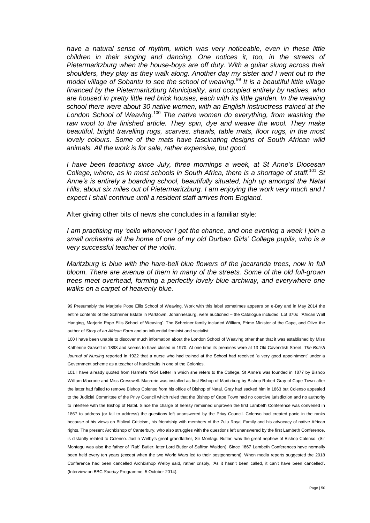*have a natural sense of rhythm, which was very noticeable, even in these little children in their singing and dancing. One notices it, too, in the streets of Pietermaritzburg when the house-boys are off duty. With a guitar slung across their shoulders, they play as they walk along. Another day my sister and I went out to the model village of Sobantu to see the school of weaving.*<sup>99</sup> *It is a beautiful little village financed by the Pietermaritzburg Municipality, and occupied entirely by natives, who are housed in pretty little red brick houses, each with its little garden. In the weaving school there were about 30 native women, with an English instructress trained at the London School of Weaving.*<sup>100</sup> *The native women do everything, from washing the*  raw wool to the finished article. They spin, dye and weave the wool. They make *beautiful, bright travelling rugs, scarves, shawls, table mats, floor rugs, in the most lovely colours. Some of the mats have fascinating designs of South African wild animals. All the work is for sale, rather expensive, but good.* 

*I have been teaching since July, three mornings a week, at St Anne's Diocesan College, where, as in most schools in South Africa, there is a shortage of staff.*<sup>101</sup> *St Anne's is entirely a boarding school, beautifully situated, high up amongst the Natal Hills, about six miles out of Pietermaritzburg. I am enjoying the work very much and I expect I shall continue until a resident staff arrives from England.*

After giving other bits of news she concludes in a familiar style:

 $\overline{a}$ 

*I am practising my 'cello whenever I get the chance, and one evening a week I join a small orchestra at the home of one of my old Durban Girls' College pupils, who is a very successful teacher of the violin.*

*Maritzburg is blue with the hare-bell blue flowers of the jacaranda trees, now in full bloom. There are avenue of them in many of the streets. Some of the old full-grown trees meet overhead, forming a perfectly lovely blue archway, and everywhere one walks on a carpet of heavenly blue.*

101 I have already quoted from Harriet's 1954 Letter in which she refers to the College. St Anne's was founded in 1877 by Bishop William Macrorie and Miss Cresswell. Macrorie was installed as first Bishop of Maritzburg by Bishop Robert Gray of Cape Town after the latter had failed to remove Bishop Colenso from his office of Bishop of Natal. Gray had sacked him in 1863 but Colenso appealed to the Judicial Committee of the Privy Council which ruled that the Bishop of Cape Town had no coercive jurisdiction and no authority to interfere with the Bishop of Natal. Since the charge of heresy remained unproven the first Lambeth Conference was convened in 1867 to address (or fail to address) the questions left unanswered by the Privy Council. Colenso had created panic in the ranks because of his views on Biblical Criticism, his friendship with members of the Zulu Royal Family and his advocacy of native African rights. The present Archbishop of Canterbury, who also struggles with the questions left unanswered by the first Lambeth Conference, is distantly related to Colenso. Justin Welby's great grandfather, Sir Montagu Butler, was the great nephew of Bishop Colenso. (Sir Montagu was also the father of 'Rab' Butler, later Lord Butler of Saffron Walden). Since 1867 Lambeth Conferences have normally been held every ten years (except when the two World Wars led to their postponement). When media reports suggested the 2018 Conference had been cancelled Archbishop Welby said, rather crisply, 'As it hasn't been called, it can't have been cancelled'. (Interview on BBC *Sunday* Programme, 5 October 2014).

<sup>99</sup> Presumably the Marjorie Pope Ellis School of Weaving. Work with this label sometimes appears on e-Bay and in May 2014 the entire contents of the Schreiner Estate in Parktown, Johannesburg, were auctioned – the Catalogue included Lot 370c 'African Wall Hanging, Marjorie Pope Ellis School of Weaving'. The Schreiner family included William, Prime Minister of the Cape, and Olive the author of *Story of an African Farm* and an influential feminist and socialist.

<sup>100</sup> I have been unable to discover much information about the London School of Weaving other than that it was established by Miss Katherine Grasett in 1898 and seems to have closed in 1970. At one time its premises were at 13 Old Cavendish Street. *The British Journal of Nursing* reported in 1922 that a nurse who had trained at the School had received 'a very good appointment' under a Government scheme as a teacher of handicrafts in one of the Colonies.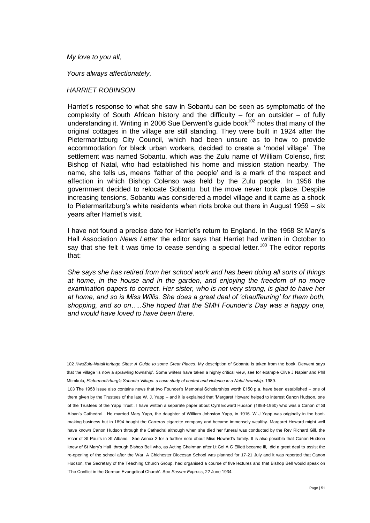# *My love to you all,*

 $\overline{a}$ 

*Yours always affectionately,*

# *HARRIET ROBINSON*

Harriet's response to what she saw in Sobantu can be seen as symptomatic of the complexity of South African history and the difficulty  $-$  for an outsider  $-$  of fully understanding it. Writing in 2006 Sue Derwent's guide book<sup>102</sup> notes that many of the original cottages in the village are still standing. They were built in 1924 after the Pietermaritzburg City Council, which had been unsure as to how to provide accommodation for black urban workers, decided to create a 'model village'. The settlement was named Sobantu, which was the Zulu name of William Colenso, first Bishop of Natal, who had established his home and mission station nearby. The name, she tells us, means 'father of the people' and is a mark of the respect and affection in which Bishop Colenso was held by the Zulu people. In 1956 the government decided to relocate Sobantu, but the move never took place. Despite increasing tensions, Sobantu was considered a model village and it came as a shock to Pietermaritzburg's white residents when riots broke out there in August 1959 – six years after Harriet's visit.

I have not found a precise date for Harriet's return to England. In the 1958 St Mary's Hall Association *News Letter* the editor says that Harriet had written in October to say that she felt it was time to cease sending a special letter.<sup>103</sup> The editor reports that:

*She says she has retired from her school work and has been doing all sorts of things at home, in the house and in the garden, and enjoying the freedom of no more examination papers to correct. Her sister, who is not very strong, is glad to have her at home, and so is Miss Willis. She does a great deal of 'chauffeuring' for them both, shopping, and so on…..She hoped that the SMH Founder's Day was a happy one, and would have loved to have been there.*

<sup>102</sup> *KwaZulu-NatalHeritage Sites: A Guide to some Great Places*. My description of Sobantu is taken from the book. Derwent says that the village 'is now a sprawling township'. Some writers have taken a highly critical view, see for example Clive J Napier and Phil Mtimkulu, Pietermaritzburg's Sobantu Village: a case study of control and violence in a Natal township, 1989.

<sup>103</sup> The 1958 issue also contains news that two Founder's Memorial Scholarships worth £150 p.a. have been established – one of them given by the Trustees of the late W. J. Yapp – and it is explained that 'Margaret Howard helped to interest Canon Hudson, one of the Trustees of the Yapp Trust'. I have written a separate paper about Cyril Edward Hudson (1888-1960) who was a Canon of St Alban's Cathedral. He married Mary Yapp, the daughter of William Johnston Yapp, in 1916. W J Yapp was originally in the bootmaking business but in 1894 bought the Carreras cigarette company and became immensely wealthy. Margaret Howard might well have known Canon Hudson through the Cathedral although when she died her funeral was conducted by the Rev Richard Gill, the Vicar of St Paul's in St Albans. See Annex 2 for a further note about Miss Howard's family. It is also possible that Canon Hudson knew of St Mary's Hall through Bishop Bell who, as Acting Chairman after Lt Col A C Elliott became ill, did a great deal to assist the re-opening of the school after the War. A Chichester Diocesan School was planned for 17-21 July and it was reported that Canon Hudson, the Secretary of the Teaching Church Group, had organised a course of five lectures and that Bishop Bell would speak on 'The Conflict in the German Evangelical Church'. See *Sussex Express*, 22 June 1934.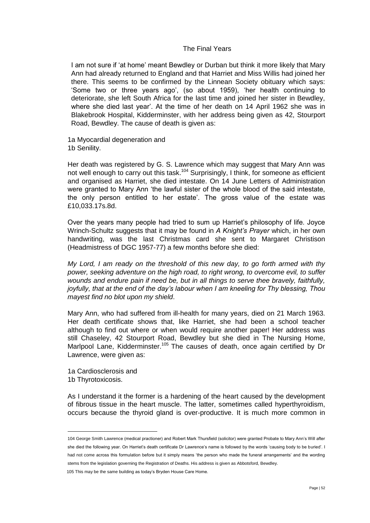# The Final Years

I am not sure if 'at home' meant Bewdley or Durban but think it more likely that Mary Ann had already returned to England and that Harriet and Miss Willis had joined her there. This seems to be confirmed by the Linnean Society obituary which says: 'Some two or three years ago', (so about 1959), 'her health continuing to deteriorate, she left South Africa for the last time and joined her sister in Bewdley, where she died last year'. At the time of her death on 14 April 1962 she was in Blakebrook Hospital, Kidderminster, with her address being given as 42, Stourport Road, Bewdley. The cause of death is given as:

1a Myocardial degeneration and 1b Senility.

Her death was registered by G. S. Lawrence which may suggest that Mary Ann was not well enough to carry out this task.<sup>104</sup> Surprisingly, I think, for someone as efficient and organised as Harriet, she died intestate. On 14 June Letters of Administration were granted to Mary Ann 'the lawful sister of the whole blood of the said intestate, the only person entitled to her estate'. The gross value of the estate was £10,033.17s.8d.

Over the years many people had tried to sum up Harriet's philosophy of life. Joyce Wrinch-Schultz suggests that it may be found in *A Knight's Prayer* which, in her own handwriting, was the last Christmas card she sent to Margaret Christison (Headmistress of DGC 1957-77) a few months before she died:

*My Lord, I am ready on the threshold of this new day, to go forth armed with thy power, seeking adventure on the high road, to right wrong, to overcome evil, to suffer wounds and endure pain if need be, but in all things to serve thee bravely, faithfully, joyfully, that at the end of the day's labour when I am kneeling for Thy blessing, Thou mayest find no blot upon my shield*.

Mary Ann, who had suffered from ill-health for many years, died on 21 March 1963. Her death certificate shows that, like Harriet, she had been a school teacher although to find out where or when would require another paper! Her address was still Chaseley, 42 Stourport Road, Bewdley but she died in The Nursing Home, Marlpool Lane, Kidderminster.<sup>105</sup> The causes of death, once again certified by Dr Lawrence, were given as:

1a Cardiosclerosis and 1b Thyrotoxicosis.

 $\overline{a}$ 

As I understand it the former is a hardening of the heart caused by the development of fibrous tissue in the heart muscle. The latter, sometimes called hyperthyroidism, occurs because the thyroid gland is over-productive. It is much more common in

105 This may be the same building as today's Bryden House Care Home.

<sup>104</sup> George Smith Lawrence (medical practioner) and Robert Mark Thursfield (solicitor) were granted Probate to Mary Ann's Will after she died the following year. On Harriet's death certificate Dr Lawrence's name is followed by the words 'causing body to be buried'. I had not come across this formulation before but it simply means 'the person who made the funeral arrangements' and the wording stems from the legislation governing the Registration of Deaths. His address is given as Abbotsford, Bewdley.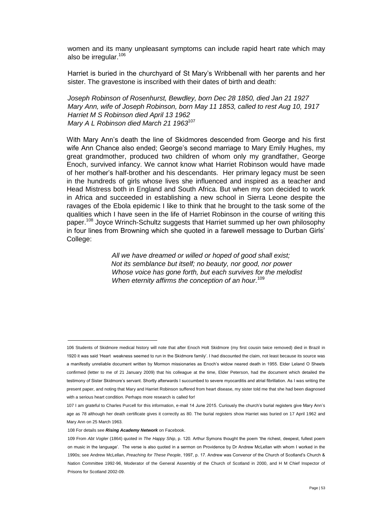women and its many unpleasant symptoms can include rapid heart rate which may also be irregular. $106$ 

Harriet is buried in the churchyard of St Mary's Wribbenall with her parents and her sister. The gravestone is inscribed with their dates of birth and death:

*Joseph Robinson of Rosenhurst, Bewdley, born Dec 28 1850, died Jan 21 1927 Mary Ann, wife of Joseph Robinson, born May 11 1853, called to rest Aug 10, 1917 Harriet M S Robinson died April 13 1962 Mary A L Robinson died March 21 1963*<sup>107</sup>

With Mary Ann's death the line of Skidmores descended from George and his first wife Ann Chance also ended; George's second marriage to Mary Emily Hughes, my great grandmother, produced two children of whom only my grandfather, George Enoch, survived infancy. We cannot know what Harriet Robinson would have made of her mother's half-brother and his descendants. Her primary legacy must be seen in the hundreds of girls whose lives she influenced and inspired as a teacher and Head Mistress both in England and South Africa. But when my son decided to work in Africa and succeeded in establishing a new school in Sierra Leone despite the ravages of the Ebola epidemic I like to think that he brought to the task some of the qualities which I have seen in the life of Harriet Robinson in the course of writing this paper.<sup>108</sup> Joyce Wrinch-Schultz suggests that Harriet summed up her own philosophy in four lines from Browning which she quoted in a farewell message to Durban Girls' College:

> *All we have dreamed or willed or hoped of good shall exist; Not its semblance but itself; no beauty, nor good, nor power Whose voice has gone forth, but each survives for the melodist When eternity affirms the conception of an hour.* 109

<sup>106</sup> Students of Skidmore medical history will note that after Enoch Holt Skidmore (my first cousin twice removed) died in Brazil in 1920 it was said 'Heart weakness seemed to run in the Skidmore family'. I had discounted the claim, not least because its source was a manifestly unreliable document written by Mormon missionaries as Enoch's widow neared death in 1955. Elder Leland O Sheets confirmed (letter to me of 21 January 2009) that his colleague at the time, Elder Peterson, had the document which detailed the testimony of Sister Skidmore's servant. Shortly afterwards I succumbed to severe myocarditis and atrial fibrillation. As I was writing the present paper, and noting that Mary and Harriet Robinson suffered from heart disease, my sister told me that she had been diagnosed with a serious heart condition. Perhaps more research is called for!

<sup>107</sup> I am grateful to Charles Purcell for this information, e-mail 14 June 2015. Curiously the church's burial registers give Mary Ann's age as 78 although her death certificate gives it correctly as 80. The burial registers show Harriet was buried on 17 April 1962 and Mary Ann on 25 March 1963.

<sup>108</sup> For details see *Rising Academy Network* on Facebook.

<sup>109</sup> From *Abt Vogler* (1864) quoted in *The Happy Ship*, p. 120. Arthur Symons thought the poem 'the richest, deepest, fullest poem on music in the language'. The verse is also quoted in a sermon on Providence by Dr Andrew McLellan with whom I worked in the 1990s; see Andrew McLellan, *Preaching for These People*, 1997, p. 17. Andrew was Convenor of the Church of Scotland's Church & Nation Committee 1992-96, Moderator of the General Assembly of the Church of Scotland in 2000, and H M Chief Inspector of Prisons for Scotland 2002-09.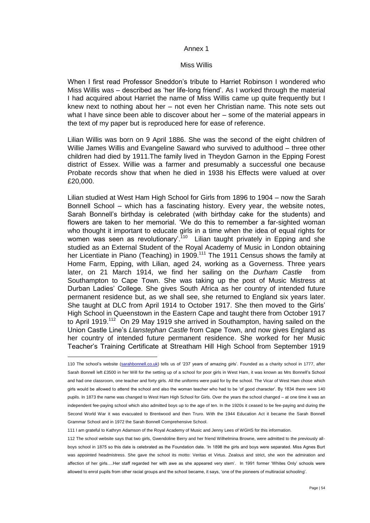#### Annex 1

# Miss Willis

When I first read Professor Sneddon's tribute to Harriet Robinson I wondered who Miss Willis was – described as 'her life-long friend'. As I worked through the material I had acquired about Harriet the name of Miss Willis came up quite frequently but I knew next to nothing about her – not even her Christian name. This note sets out what I have since been able to discover about her – some of the material appears in the text of my paper but is reproduced here for ease of reference.

Lilian Willis was born on 9 April 1886. She was the second of the eight children of Willie James Willis and Evangeline Saward who survived to adulthood – three other children had died by 1911.The family lived in Theydon Garnon in the Epping Forest district of Essex. Willie was a farmer and presumably a successful one because Probate records show that when he died in 1938 his Effects were valued at over £20,000.

Lilian studied at West Ham High School for Girls from 1896 to 1904 – now the Sarah Bonnell School – which has a fascinating history. Every year, the website notes, Sarah Bonnell's birthday is celebrated (with birthday cake for the students) and flowers are taken to her memorial. 'We do this to remember a far-sighted woman who thought it important to educate girls in a time when the idea of equal rights for women was seen as revolutionary'.<sup>110</sup> Lilian taught privately in Epping and she studied as an External Student of the Royal Academy of Music in London obtaining her Licentiate in Piano (Teaching) in 1909.<sup>111</sup> The 1911 Census shows the family at Home Farm, Epping, with Lilian, aged 24, working as a Governess. Three years later, on 21 March 1914, we find her sailing on the *Durham Castle* from Southampton to Cape Town. She was taking up the post of Music Mistress at Durban Ladies' College. She gives South Africa as her country of intended future permanent residence but, as we shall see, she returned to England six years later. She taught at DLC from April 1914 to October 1917. She then moved to the Girls' High School in Queenstown in the Eastern Cape and taught there from October 1917 to April 1919.<sup>112</sup> On 29 May 1919 she arrived in Southampton, having sailed on the Union Castle Line's *Llanstephan Castle* from Cape Town, and now gives England as her country of intended future permanent residence. She worked for her Music Teacher's Training Certificate at Streatham Hill High School from September 1919

<sup>110</sup> The school's website [\(sarahbonnell.co.uk\)](#page-0-0) tells us of '237 years of amazing girls'. Founded as a charity school in 1777, after Sarah Bonnell left £3500 in her Will for the setting up of a school for poor girls in West Ham, it was known as Mrs Bonnell's School and had one classroom, one teacher and forty girls. All the uniforms were paid for by the school. The Vicar of West Ham chose which girls would be allowed to attend the school and also the woman teacher who had to be 'of good character'. By 1834 there were 140 pupils. In 1873 the name was changed to West Ham High School for Girls. Over the years the school changed – at one time it was an independent fee-paying school which also admitted boys up to the age of ten. In the 1920s it ceased to be fee-paying and during the Second World War it was evacuated to Brentwood and then Truro. With the 1944 Education Act it became the Sarah Bonnell Grammar School and in 1972 the Sarah Bonnell Comprehensive School.

<sup>111</sup> I am grateful to Kathryn Adamson of the Royal Academy of Music and Jenny Lees of WGHS for this information.

<sup>112</sup> The school website says that two girls, Gwendoline Berry and her friend Wilhelmina Browne, were admitted to the previously allboys school in 1875 so this date is celebrated as the Foundation date. 'In 1898 the girls and boys were separated. Miss Agnes Burt was appointed headmistress. She gave the school its motto: Veritas et Virtus. Zealous and strict, she won the admiration and affection of her girls….Her staff regarded her with awe as she appeared very stern'. In 1991 former 'Whites Only' schools were allowed to enrol pupils from other racial groups and the school became, it says, 'one of the pioneers of multiracial schooling'.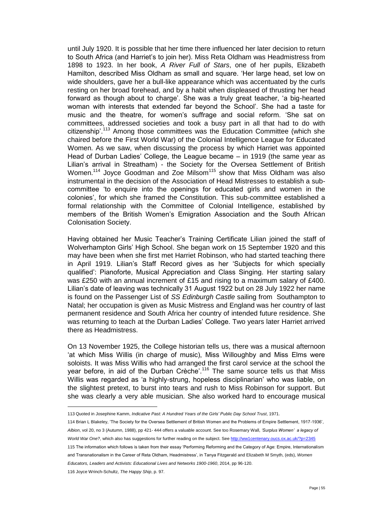until July 1920. It is possible that her time there influenced her later decision to return to South Africa (and Harriet's to join her). Miss Reta Oldham was Headmistress from 1898 to 1923. In her book, *A River Full of Stars*, one of her pupils, Elizabeth Hamilton, described Miss Oldham as small and square. 'Her large head, set low on wide shoulders, gave her a bull-like appearance which was accentuated by the curls resting on her broad forehead, and by a habit when displeased of thrusting her head forward as though about to charge'. She was a truly great teacher, 'a big-hearted woman with interests that extended far beyond the School'. She had a taste for music and the theatre, for women's suffrage and social reform. 'She sat on committees, addressed societies and took a busy part in all that had to do with citizenship'.<sup>113</sup> Among those committees was the Education Committee (which she chaired before the First World War) of the Colonial Intelligence League for Educated Women. As we saw, when discussing the process by which Harriet was appointed Head of Durban Ladies' College, the League became – in 1919 (the same year as Lilian's arrival in Streatham) - the Society for the Oversea Settlement of British Women.<sup>114</sup> Joyce Goodman and Zoe Milsom<sup>115</sup> show that Miss Oldham was also instrumental in the decision of the Association of Head Mistresses to establish a subcommittee 'to enquire into the openings for educated girls and women in the colonies', for which she framed the Constitution. This sub-committee established a formal relationship with the Committee of Colonial Intelligence, established by members of the British Women's Emigration Association and the South African Colonisation Society.

Having obtained her Music Teacher's Training Certificate Lilian joined the staff of Wolverhampton Girls' High School. She began work on 15 September 1920 and this may have been when she first met Harriet Robinson, who had started teaching there in April 1919. Lilian's Staff Record gives as her 'Subjects for which specially qualified': Pianoforte, Musical Appreciation and Class Singing. Her starting salary was £250 with an annual increment of £15 and rising to a maximum salary of £400. Lilian's date of leaving was technically 31 August 1922 but on 28 July 1922 her name is found on the Passenger List of *SS Edinburgh Castle* sailing from Southampton to Natal; her occupation is given as Music Mistress and England was her country of last permanent residence and South Africa her country of intended future residence. She was returning to teach at the Durban Ladies' College. Two years later Harriet arrived there as Headmistress.

On 13 November 1925, the College historian tells us, there was a musical afternoon 'at which Miss Willis (in charge of music), Miss Willoughby and Miss Elms were soloists. It was Miss Willis who had arranged the first carol service at the school the year before, in aid of the Durban Crèche'.<sup>116</sup> The same source tells us that Miss Willis was regarded as 'a highly-strung, hopeless disciplinarian' who was liable, on the slightest pretext, to burst into tears and rush to Miss Robinson for support. But she was clearly a very able musician. She also worked hard to encourage musical

<sup>113</sup> Quoted in Josephine Kamm, *Indicative Past: A Hundred Years of the Girls' Public Day School Trust*, 1971.

<sup>114</sup> Brian L Blakeley, 'The Society for the Oversea Settlement of British Women and the Problems of Empire Settlement, 1917-1936', *Albion*, vol 20, no 3 (Autumn, 1988), pp 421- 444 offers a valuable account. See too Rosemary Wall, *'Surplus Women' a legacy of* 

World War One?, which also has suggestions for further reading on the subject. Se[e http://ww1centenary.oucs.ox.ac.uk/?p=2345](http://ww1centenary.oucs.ox.ac.uk/?p=2345)

<sup>115</sup> The information which follows is taken from their essay 'Performing Reforming and the Category of Age: Empire, Internationalism and Transnationalism in the Career of Reta Oldham, Headmistress', in Tanya Fitzgerald and Elizabeth M Smyth, (eds), *Women Educators, Leaders and Activists: Educational Lives and Networks 1900-1960*, 2014, pp 96-120.

<sup>116</sup> Joyce Wrinch-Schultz, *The Happy Ship*, p. 97.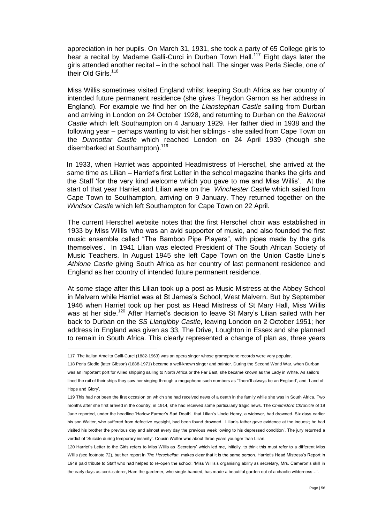appreciation in her pupils. On March 31, 1931, she took a party of 65 College girls to hear a recital by Madame Galli-Curci in Durban Town Hall.<sup>117</sup> Eight days later the girls attended another recital – in the school hall. The singer was Perla Siedle, one of their Old Girls.<sup>118</sup>

Miss Willis sometimes visited England whilst keeping South Africa as her country of intended future permanent residence (she gives Theydon Garnon as her address in England). For example we find her on the *Llanstephan Castle* sailing from Durban and arriving in London on 24 October 1928, and returning to Durban on the *Balmoral Castle* which left Southampton on 4 January 1929. Her father died in 1938 and the following year – perhaps wanting to visit her siblings - she sailed from Cape Town on the *Dunnottar Castle* which reached London on 24 April 1939 (though she disembarked at Southampton).<sup>119</sup>

In 1933, when Harriet was appointed Headmistress of Herschel, she arrived at the same time as Lilian – Harriet's first Letter in the school magazine thanks the girls and the Staff 'for the very kind welcome which you gave to me and Miss Willis'. At the start of that year Harriet and Lilian were on the *Winchester Castle* which sailed from Cape Town to Southampton, arriving on 9 January. They returned together on the *Windsor Castle* which left Southampton for Cape Town on 22 April.

The current Herschel website notes that the first Herschel choir was established in 1933 by Miss Willis 'who was an avid supporter of music, and also founded the first music ensemble called "The Bamboo Pipe Players", with pipes made by the girls themselves'. In 1941 Lilian was elected President of The South African Society of Music Teachers. In August 1945 she left Cape Town on the Union Castle Line's *Athlone Castle* giving South Africa as her country of last permanent residence and England as her country of intended future permanent residence.

At some stage after this Lilian took up a post as Music Mistress at the Abbey School in Malvern while Harriet was at St James's School, West Malvern. But by September 1946 when Harriet took up her post as Head Mistress of St Mary Hall, Miss Willis was at her side.<sup>120</sup> After Harriet's decision to leave St Mary's Lilian sailed with her back to Durban on the *SS Llangibby Castle*, leaving London on 2 October 1951; her address in England was given as 33, The Drive, Loughton in Essex and she planned to remain in South Africa. This clearly represented a change of plan as, three years

<sup>117</sup> The Italian Amelita Galli-Curci (1882-1963) was an opera singer whose gramophone records were very popular.

<sup>118</sup> Perla Siedle (later Gibson) (1888-1971) became a well-known singer and painter. During the Second World War, when Durban was an important port for Allied shipping sailing to North Africa or the Far East, she became known as the Lady in White. As sailors lined the rail of their ships they saw her singing through a megaphone such numbers as 'There'll always be an England', and 'Land of Hope and Glory'.

<sup>119</sup> This had not been the first occasion on which she had received news of a death in the family while she was in South Africa. Two months after she first arrived in the country, in 1914, she had received some particularly tragic news. The *Chelmsford Chronicle* of 19 June reported, under the headline 'Harlow Farmer's Sad Death', that Lilian's Uncle Henry, a widower, had drowned. Six days earlier his son Walter, who suffered from defective eyesight, had been found drowned. Lilian's father gave evidence at the inquest; he had visited his brother the previous day and almost every day the previous week 'owing to his depressed condition'. The jury returned a verdict of 'Suicide during temporary insanity'. Cousin Walter was about three years younger than Lilian.

<sup>120</sup> Harriet's Letter to the Girls refers to Miss Willis as 'Secretary' which led me, initially, to think this must refer to a different Miss Willis (see footnote 72), but her report in *The Herschelian* makes clear that it is the same person. Harriet's Head Mistress's Report in 1949 paid tribute to Staff who had helped to re-open the school: 'Miss Willis's organising ability as secretary, Mrs. Cameron's skill in the early days as cook-caterer, Ham the gardener, who single-handed, has made a beautiful garden out of a chaotic wilderness…'.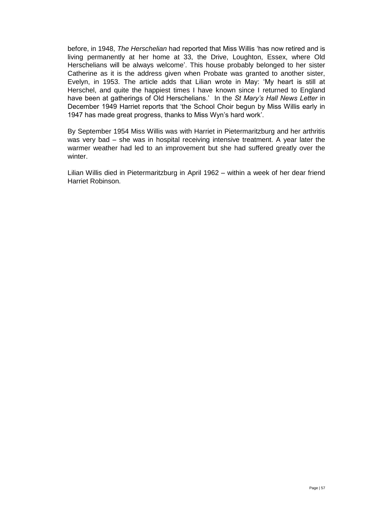before, in 1948, *The Herschelian* had reported that Miss Willis 'has now retired and is living permanently at her home at 33, the Drive, Loughton, Essex, where Old Herschelians will be always welcome'. This house probably belonged to her sister Catherine as it is the address given when Probate was granted to another sister, Evelyn, in 1953. The article adds that Lilian wrote in May: 'My heart is still at Herschel, and quite the happiest times I have known since I returned to England have been at gatherings of Old Herschelians.' In the *St Mary's Hall News Letter* in December 1949 Harriet reports that 'the School Choir begun by Miss Willis early in 1947 has made great progress, thanks to Miss Wyn's hard work'.

By September 1954 Miss Willis was with Harriet in Pietermaritzburg and her arthritis was very bad – she was in hospital receiving intensive treatment. A year later the warmer weather had led to an improvement but she had suffered greatly over the winter.

Lilian Willis died in Pietermaritzburg in April 1962 – within a week of her dear friend Harriet Robinson.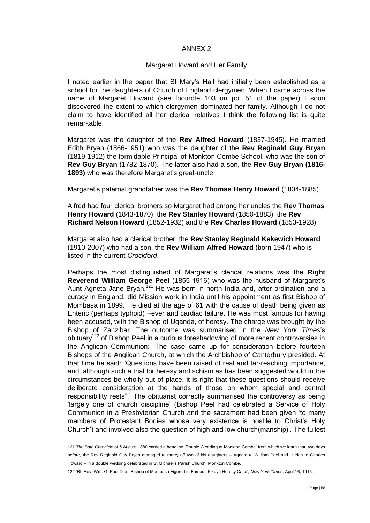# ANNEX 2

# Margaret Howard and Her Family

I noted earlier in the paper that St Mary's Hall had initially been established as a school for the daughters of Church of England clergymen. When I came across the name of Margaret Howard (see footnote 103 on pp. 51 of the paper) I soon discovered the extent to which clergymen dominated her family. Although I do not claim to have identified all her clerical relatives I think the following list is quite remarkable.

Margaret was the daughter of the **Rev Alfred Howard** (1837-1945). He married Edith Bryan (1866-1951) who was the daughter of the **Rev Reginald Guy Bryan**  (1819-1912) the formidable Principal of Monkton Combe School, who was the son of **Rev Guy Bryan** (1782-1870). The latter also had a son, the **Rev Guy Bryan (1816- 1893)** who was therefore Margaret's great-uncle.

Margaret's paternal grandfather was the **Rev Thomas Henry Howard** (1804-1885).

Alfred had four clerical brothers so Margaret had among her uncles the **Rev Thomas Henry Howard** (1843-1870), the **Rev Stanley Howard** (1850-1883), the **Rev Richard Nelson Howard** (1852-1932) and the **Rev Charles Howard** (1853-1928).

Margaret also had a clerical brother, the **Rev Stanley Reginald Kekewich Howard** (1910-2007) who had a son, the **Rev William Alfred Howard** (born 1947) who is listed in the current *Crockford*.

Perhaps the most distinguished of Margaret's clerical relations was the **Right Reverend William George Peel** (1855-1916) who was the husband of Margaret's Aunt Agneta Jane Bryan.<sup>121</sup> He was born in north India and, after ordination and a curacy in England, did Mission work in India until his appointment as first Bishop of Mombasa in 1899. He died at the age of 61 with the cause of death being given as Enteric (perhaps typhoid) Fever and cardiac failure. He was most famous for having been accused, with the Bishop of Uganda, of heresy. The charge was brought by the Bishop of Zanzibar. The outcome was summarised in the *New York Times*'s obituary<sup>122</sup> of Bishop Peel in a curious foreshadowing of more recent controversies in the Anglican Communion: 'The case came up for consideration before fourteen Bishops of the Anglican Church, at which the Archbishop of Canterbury presided. At that time he said: "Questions have been raised of real and far-reaching importance, and, although such a trial for heresy and schism as has been suggested would in the circumstances be wholly out of place, it is right that these questions should receive deliberate consideration at the hands of those on whom special and central responsibility rests".' The obituarist correctly summarised the controversy as being 'largely one of church discipline' (Bishop Peel had celebrated a Service of Holy Communion in a Presbyterian Church and the sacrament had been given 'to many members of Protestant Bodies whose very existence is hostile to Christ's Holy Church') and involved also the question of high and low church(manship)'. The fullest

<sup>121</sup> *The Bath Chronicle* of 5 August 1880 carried a headline 'Double Wedding at Monkton Combe' from which we learn that, two days before, the Rev Reginald Guy Bryan managed to marry off two of his daughters – Agneta to William Peel and Helen to Charles Howard – in a double wedding celebrated in St Michael's Parish Church, Monkton Combe.

<sup>122</sup> 'Rt. Rev. Wm. G. Peel Dies: Bishop of Mombasa Figured in Famous Kikuyu Heresy Case', *New York Times*, April 16, 1916.